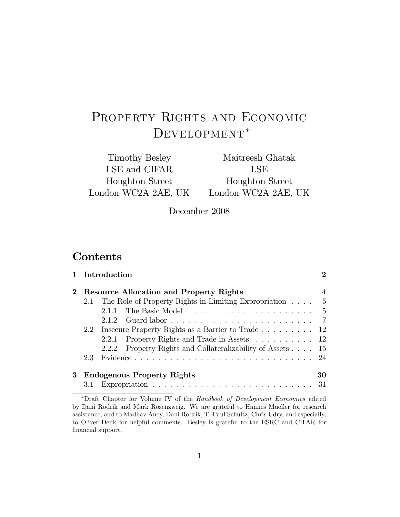# PROPERTY RIGHTS AND ECONOMIC DEVELOPMENT\*

Timothy Besley LSE and CIFAR Houghton Street London WC2A 2AE, UK

Maitreesh Ghatak LSE Houghton Street London WC2A 2AE, UK

December 2008

# **Contents**

|   | 1 Introduction<br>2 Resource Allocation and Property Rights |       |                                                             |  |  |  |
|---|-------------------------------------------------------------|-------|-------------------------------------------------------------|--|--|--|
|   |                                                             |       |                                                             |  |  |  |
|   |                                                             |       | 2.1 The Role of Property Rights in Limiting Expropriation 5 |  |  |  |
|   |                                                             | 2.1.1 |                                                             |  |  |  |
|   |                                                             |       |                                                             |  |  |  |
|   |                                                             |       | 2.2 Insecure Property Rights as a Barrier to Trade 12       |  |  |  |
|   |                                                             |       | 2.2.1 Property Rights and Trade in Assets 12                |  |  |  |
|   |                                                             |       | 2.2.2 Property Rights and Collateralizability of Assets 15  |  |  |  |
|   | 2.3                                                         |       |                                                             |  |  |  |
| 3 | <b>Endogenous Property Rights</b><br>30                     |       |                                                             |  |  |  |
|   |                                                             |       |                                                             |  |  |  |

Draft Chapter for Volume IV of the Handbook of Development Economics edited by Dani Rodrik and Mark Rosenzweig. We are grateful to Hannes Mueller for research assistance, and to Madhav Aney, Dani Rodrik, T. Paul Schultz, Chris Udry, and especially, to Oliver Denk for helpful comments. Besley is grateful to the ESRC and CIFAR for financial support.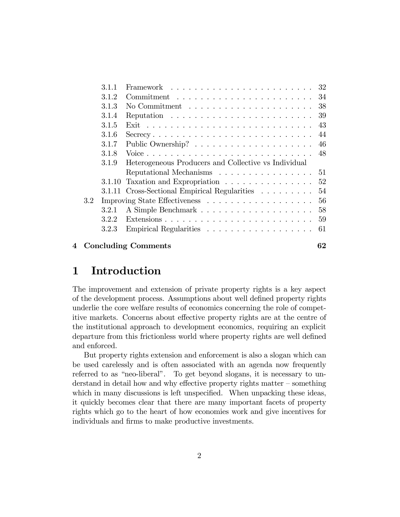|     |       | 4 Concluding Comments                                                     | 62  |
|-----|-------|---------------------------------------------------------------------------|-----|
|     | 3.2.3 | Empirical Regularities $\ldots \ldots \ldots \ldots \ldots \ldots 61$     |     |
|     |       |                                                                           |     |
|     | 3.2.2 |                                                                           |     |
|     | 3.2.1 |                                                                           |     |
| 3.2 |       |                                                                           |     |
|     |       | 3.1.11 Cross-Sectional Empirical Regularities                             | 54  |
|     |       | 3.1.10 Taxation and Expropriation $\ldots \ldots \ldots \ldots \ldots 52$ |     |
|     |       | Reputational Mechanisms $\ldots \ldots \ldots \ldots \ldots 51$           |     |
|     | 3.1.9 | Heterogeneous Producers and Collective vs Individual                      |     |
|     | 3.1.8 |                                                                           |     |
|     | 3.1.7 |                                                                           | 46  |
|     | 3.1.6 |                                                                           | 44  |
|     | 3.1.5 |                                                                           | 43  |
|     | 3.1.4 |                                                                           | -39 |
|     | 3.1.3 | No Commitment $\dots \dots \dots \dots \dots \dots \dots \dots$           | 38  |
|     | 3.1.2 |                                                                           | 34  |
|     | 311   |                                                                           | 32  |
|     |       |                                                                           |     |

# 1 Introduction

The improvement and extension of private property rights is a key aspect of the development process. Assumptions about well deÖned property rights underlie the core welfare results of economics concerning the role of competitive markets. Concerns about effective property rights are at the centre of the institutional approach to development economics, requiring an explicit departure from this frictionless world where property rights are well defined and enforced.

But property rights extension and enforcement is also a slogan which can be used carelessly and is often associated with an agenda now frequently referred to as "neo-liberal". To get beyond slogans, it is necessary to understand in detail how and why effective property rights matter  $-$  something which in many discussions is left unspecified. When unpacking these ideas, it quickly becomes clear that there are many important facets of property rights which go to the heart of how economies work and give incentives for individuals and firms to make productive investments.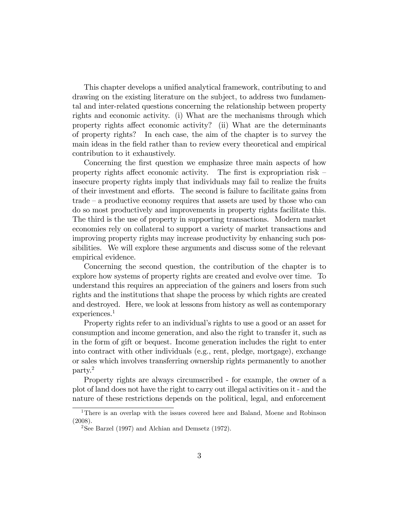This chapter develops a unified analytical framework, contributing to and drawing on the existing literature on the subject, to address two fundamental and inter-related questions concerning the relationship between property rights and economic activity. (i) What are the mechanisms through which property rights affect economic activity? (ii) What are the determinants of property rights? In each case, the aim of the chapter is to survey the main ideas in the Öeld rather than to review every theoretical and empirical contribution to it exhaustively.

Concerning the first question we emphasize three main aspects of how property rights affect economic activity. The first is expropriation risk  $\overline{\phantom{a}}$ insecure property rights imply that individuals may fail to realize the fruits of their investment and efforts. The second is failure to facilitate gains from  $trade - a productive economy requires that assets are used by those who can$ do so most productively and improvements in property rights facilitate this. The third is the use of property in supporting transactions. Modern market economies rely on collateral to support a variety of market transactions and improving property rights may increase productivity by enhancing such possibilities. We will explore these arguments and discuss some of the relevant empirical evidence.

Concerning the second question, the contribution of the chapter is to explore how systems of property rights are created and evolve over time. To understand this requires an appreciation of the gainers and losers from such rights and the institutions that shape the process by which rights are created and destroyed. Here, we look at lessons from history as well as contemporary experiences.<sup>1</sup>

Property rights refer to an individual's rights to use a good or an asset for consumption and income generation, and also the right to transfer it, such as in the form of gift or bequest. Income generation includes the right to enter into contract with other individuals (e.g., rent, pledge, mortgage), exchange or sales which involves transferring ownership rights permanently to another party.<sup>2</sup>

Property rights are always circumscribed - for example, the owner of a plot of land does not have the right to carry out illegal activities on it - and the nature of these restrictions depends on the political, legal, and enforcement

<sup>&</sup>lt;sup>1</sup>There is an overlap with the issues covered here and Baland, Moene and Robinson (2008).

<sup>&</sup>lt;sup>2</sup>See Barzel (1997) and Alchian and Demsetz (1972).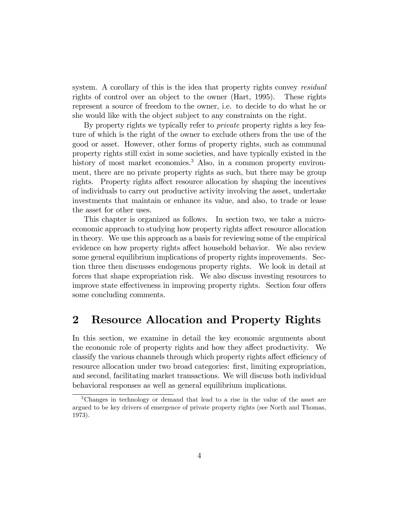system. A corollary of this is the idea that property rights convey *residual* rights of control over an object to the owner (Hart, 1995). These rights represent a source of freedom to the owner, i.e. to decide to do what he or she would like with the object subject to any constraints on the right.

By property rights we typically refer to *private* property rights a key feature of which is the right of the owner to exclude others from the use of the good or asset. However, other forms of property rights, such as communal property rights still exist in some societies, and have typically existed in the history of most market economies.<sup>3</sup> Also, in a common property environment, there are no private property rights as such, but there may be group rights. Property rights affect resource allocation by shaping the incentives of individuals to carry out productive activity involving the asset, undertake investments that maintain or enhance its value, and also, to trade or lease the asset for other uses.

This chapter is organized as follows. In section two, we take a microeconomic approach to studying how property rights affect resource allocation in theory. We use this approach as a basis for reviewing some of the empirical evidence on how property rights affect household behavior. We also review some general equilibrium implications of property rights improvements. Section three then discusses endogenous property rights. We look in detail at forces that shape expropriation risk. We also discuss investing resources to improve state effectiveness in improving property rights. Section four offers some concluding comments.

# 2 Resource Allocation and Property Rights

In this section, we examine in detail the key economic arguments about the economic role of property rights and how they affect productivity. We classify the various channels through which property rights affect efficiency of resource allocation under two broad categories: Örst, limiting expropriation, and second, facilitating market transactions. We will discuss both individual behavioral responses as well as general equilibrium implications.

<sup>3</sup>Changes in technology or demand that lead to a rise in the value of the asset are argued to be key drivers of emergence of private property rights (see North and Thomas, 1973).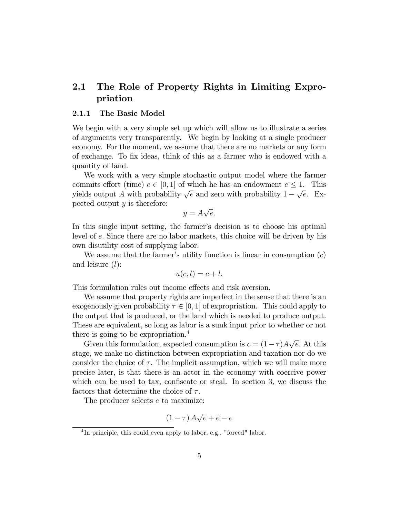## 2.1 The Role of Property Rights in Limiting Expropriation

#### 2.1.1 The Basic Model

We begin with a very simple set up which will allow us to illustrate a series of arguments very transparently. We begin by looking at a single producer economy. For the moment, we assume that there are no markets or any form of exchange. To fix ideas, think of this as a farmer who is endowed with a quantity of land.

We work with a very simple stochastic output model where the farmer commits effort (time)  $e \in [0, 1]$  of which he has an endowment  $\bar{e} \leq 1$ . This yields output A with probability  $\sqrt{e}$  and zero with probability  $1 - \sqrt{e}$ . Expected output  $y$  is therefore:

$$
y = A\sqrt{e}.
$$

In this single input setting, the farmer's decision is to choose his optimal level of e: Since there are no labor markets, this choice will be driven by his own disutility cost of supplying labor.

We assume that the farmer's utility function is linear in consumption  $(c)$ and leisure (l):

$$
u(c, l) = c + l.
$$

This formulation rules out income effects and risk aversion.

We assume that property rights are imperfect in the sense that there is an exogenously given probability  $\tau \in [0, 1]$  of expropriation. This could apply to the output that is produced, or the land which is needed to produce output. These are equivalent, so long as labor is a sunk input prior to whether or not there is going to be expropriation.<sup>4</sup>

Given this formulation, expected consumption is  $c = (1 - \tau)A\sqrt{e}$ . At this stage, we make no distinction between expropriation and taxation nor do we consider the choice of  $\tau$ . The implicit assumption, which we will make more precise later, is that there is an actor in the economy with coercive power which can be used to tax, confiscate or steal. In section  $3$ , we discuss the factors that determine the choice of  $\tau$ .

The producer selects e to maximize:

$$
(1 - \tau) A \sqrt{e} + \overline{e} - e
$$

<sup>&</sup>lt;sup>4</sup>In principle, this could even apply to labor, e.g., "forced" labor.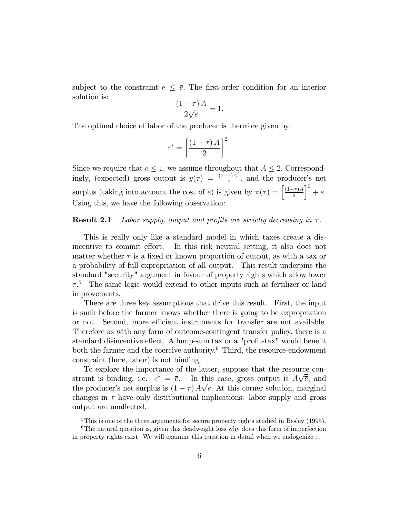subject to the constraint  $e \leq \overline{e}$ . The first-order condition for an interior solution is:

$$
\frac{(1-\tau)A}{2\sqrt{e}} = 1.
$$

The optimal choice of labor of the producer is therefore given by:

$$
e^* = \left[\frac{(1-\tau) A}{2}\right]^2.
$$

Since we require that  $e \leq 1$ , we assume throughout that  $A \leq 2$ . Correspondingly, (expected) gross output is  $y(\tau) = \frac{(1-\tau)A^2}{2}$ , and the producer's net surplus (taking into account the cost of e) is given by  $\pi(\tau) = \left[\frac{(1-\tau)A}{2}\right]$  $\Big]^2 + \overline{e}.$ Using this, we have the following observation:

#### **Result 2.1** Labor supply, output and profits are strictly decreasing in  $\tau$ .

This is really only like a standard model in which taxes create a disincentive to commit effort. In this risk neutral setting, it also does not matter whether  $\tau$  is a fixed or known proportion of output, as with a tax or a probability of full expropriation of all output. This result underpins the standard "security" argument in favour of property rights which allow lower  $\tau$ <sup>5</sup>. The same logic would extend to other inputs such as fertilizer or land improvements.

There are three key assumptions that drive this result. First, the input is sunk before the farmer knows whether there is going to be expropriation or not. Second, more efficient instruments for transfer are not available. Therefore as with any form of outcome-contingent transfer policy, there is a standard disincentive effect. A lump-sum tax or a "profit-tax" would benefit both the farmer and the coercive authority. $6$  Third, the resource-endowment constraint (here, labor) is not binding.

To explore the importance of the latter, suppose that the resource constraint is binding, i.e.  $e^* = \overline{e}$ . In this case, gross output is  $A\sqrt{\overline{e}}$ , and the producer's net surplus is  $(1 - \tau) A \sqrt{\overline{e}}$ . At this corner solution, marginal changes in  $\tau$  have only distributional implications: labor supply and gross output are unaffected.

<sup>&</sup>lt;sup>5</sup>This is one of the three arguments for secure property rights studied in Besley (1995).

<sup>&</sup>lt;sup>6</sup>The natural question is, given this deadweight loss why does this form of imperfection in property rights exist. We will examine this question in detail when we endogenize  $\tau$ .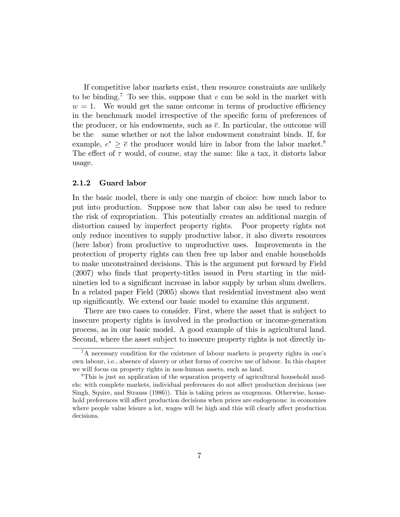If competitive labor markets exist, then resource constraints are unlikely to be binding.<sup>7</sup> To see this, suppose that  $e$  can be sold in the market with  $w = 1$ . We would get the same outcome in terms of productive efficiency in the benchmark model irrespective of the specific form of preferences of the producer, or his endowments, such as  $\bar{e}$ . In particular, the outcome will be the same whether or not the labor endowment constraint binds. If, for example,  $e^* \geq \overline{e}$  the producer would hire in labor from the labor market.<sup>8</sup> The effect of  $\tau$  would, of course, stay the same: like a tax, it distorts labor usage.

#### 2.1.2 Guard labor

In the basic model, there is only one margin of choice: how much labor to put into production. Suppose now that labor can also be used to reduce the risk of expropriation. This potentially creates an additional margin of distortion caused by imperfect property rights. Poor property rights not only reduce incentives to supply productive labor, it also diverts resources (here labor) from productive to unproductive uses. Improvements in the protection of property rights can then free up labor and enable households to make unconstrained decisions. This is the argument put forward by Field  $(2007)$  who finds that property-titles issued in Peru starting in the midnineties led to a significant increase in labor supply by urban slum dwellers. In a related paper Field (2005) shows that residential investment also went up significantly. We extend our basic model to examine this argument.

There are two cases to consider. First, where the asset that is subject to insecure property rights is involved in the production or income-generation process, as in our basic model. A good example of this is agricultural land. Second, where the asset subject to insecure property rights is not directly in-

<sup>&</sup>lt;sup>7</sup>A necessary condition for the existence of labour markets is property rights in one's own labour, i.e., absence of slavery or other forms of coercive use of labour. In this chapter we will focus on property rights in non-human assets, such as land.

<sup>8</sup>This is just an application of the separation property of agricultural household models: with complete markets, individual preferences do not affect production decisions (see Singh, Squire, and Strauss (1986)). This is taking prices as exogenous. Otherwise, household preferences will affect production decisions when prices are endogenous: in economies where people value leisure a lot, wages will be high and this will clearly affect production decisions.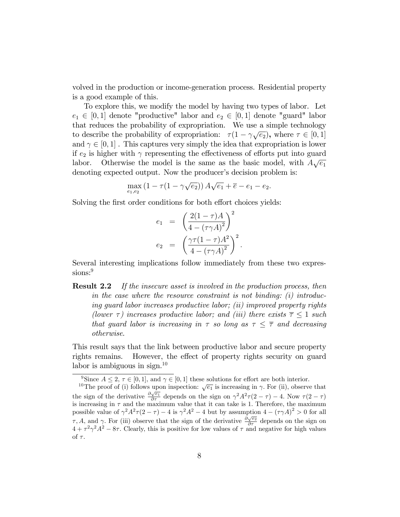volved in the production or income-generation process. Residential property is a good example of this.

To explore this, we modify the model by having two types of labor. Let  $e_1 \in [0, 1]$  denote "productive" labor and  $e_2 \in [0, 1]$  denote "guard" labor that reduces the probability of expropriation. We use a simple technology to describe the probability of expropriation:  $\tau(1-\gamma\sqrt{e_2})$ , where  $\tau \in [0,1]$ and  $\gamma \in [0, 1]$ . This captures very simply the idea that expropriation is lower if  $e_2$  is higher with  $\gamma$  representing the effectiveness of efforts put into guard labor. Otherwise the model is the same as the basic model, with  $A\sqrt{e_1}$ denoting expected output. Now the producer's decision problem is:

$$
\max_{e_1, e_2} (1 - \tau(1 - \gamma \sqrt{e_2})) A \sqrt{e_1} + \overline{e} - e_1 - e_2.
$$

Solving the first order conditions for both effort choices yields:

$$
e_1 = \left(\frac{2(1-\tau)A}{4-(\tau\gamma A)^2}\right)^2
$$

$$
e_2 = \left(\frac{\gamma\tau(1-\tau)A^2}{4-(\tau\gamma A)^2}\right)^2.
$$

Several interesting implications follow immediately from these two expressions:<sup>9</sup>

**Result 2.2** If the insecure asset is involved in the production process, then in the case where the resource constraint is not binding:  $(i)$  introducing guard labor increases productive labor; (ii) improved property rights (lower  $\tau$ ) increases productive labor; and (iii) there exists  $\overline{\tau}$  < 1 such that guard labor is increasing in  $\tau$  so long as  $\tau \leq \overline{\tau}$  and decreasing otherwise.

This result says that the link between productive labor and secure property rights remains. However, the effect of property rights security on guard labor is ambiguous in sign. $10$ 

<sup>&</sup>lt;sup>9</sup>Since  $A \le 2, \tau \in [0,1]$ , and  $\gamma \in [0,1]$  these solutions for effort are both interior.

<sup>&</sup>lt;sup>10</sup>The proof of (i) follows upon inspection:  $\sqrt{e_1}$  is increasing in  $\gamma$ . For (ii), observe that the sign of the derivative  $\frac{\partial \sqrt{e_1}}{\partial \tau}$  depends on the sign on  $\gamma^2 A^2 \tau (2 - \tau) - 4$ . Now  $\tau (2 - \tau)$ is increasing in  $\tau$  and the maximum value that it can take is 1. Therefore, the maximum possible value of  $\gamma^2 A^2 \tau (2 - \tau) - 4$  is  $\gamma^2 A^2 - 4$  but by assumption  $4 - (\tau \gamma A)^2 > 0$  for all  $\tau$ , A, and  $\gamma$ . For (iii) observe that the sign of the derivative  $\frac{\partial \sqrt{\epsilon_2}}{\partial \tau}$  depends on the sign on  $4 + \tau^2 \gamma^2 A^2 - 8\tau$ . Clearly, this is positive for low values of  $\tau$  and negative for high values of  $\tau$ .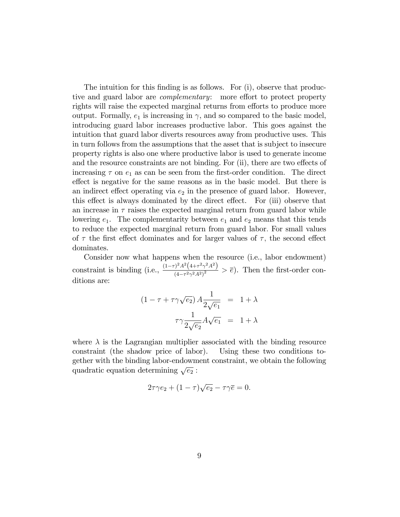The intuition for this finding is as follows. For (i), observe that productive and guard labor are *complementary*: more effort to protect property rights will raise the expected marginal returns from efforts to produce more output. Formally,  $e_1$  is increasing in  $\gamma$ , and so compared to the basic model, introducing guard labor increases productive labor. This goes against the intuition that guard labor diverts resources away from productive uses. This in turn follows from the assumptions that the asset that is subject to insecure property rights is also one where productive labor is used to generate income and the resource constraints are not binding. For  $(ii)$ , there are two effects of increasing  $\tau$  on  $e_1$  as can be seen from the first-order condition. The direct effect is negative for the same reasons as in the basic model. But there is an indirect effect operating via  $e_2$  in the presence of guard labor. However, this effect is always dominated by the direct effect. For (iii) observe that an increase in  $\tau$  raises the expected marginal return from guard labor while lowering  $e_1$ . The complementarity between  $e_1$  and  $e_2$  means that this tends to reduce the expected marginal return from guard labor: For small values of  $\tau$  the first effect dominates and for larger values of  $\tau$ , the second effect dominates.

Consider now what happens when the resource (i.e., labor endowment) constraint is binding (i.e.,  $\frac{(1-\tau)^2 A^2 (4+\tau^2 \gamma^2 A^2)}{(4-\tau^2 \gamma^2 A^2)^2}$  $\frac{(4+\epsilon)^{2}}{(4-\epsilon^2\gamma^2A^2)^2} > \bar{e}$ . Then the first-order conditions are:

$$
(1 - \tau + \tau \gamma \sqrt{e_2}) A \frac{1}{2\sqrt{e_1}} = 1 + \lambda
$$

$$
\tau \gamma \frac{1}{2\sqrt{e_2}} A \sqrt{e_1} = 1 + \lambda
$$

where  $\lambda$  is the Lagrangian multiplier associated with the binding resource constraint (the shadow price of labor). Using these two conditions together with the binding labor-endowment constraint, we obtain the following quadratic equation determining  $\sqrt{e_2}$ :

$$
2\tau\gamma e_2 + (1-\tau)\sqrt{e_2} - \tau\gamma\overline{e} = 0.
$$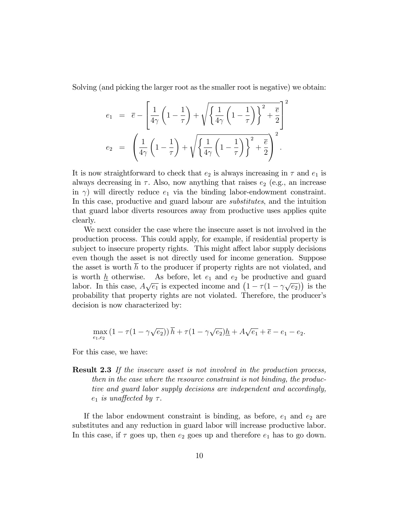Solving (and picking the larger root as the smaller root is negative) we obtain:

$$
e_1 = \overline{e} - \left[ \frac{1}{4\gamma} \left( 1 - \frac{1}{\tau} \right) + \sqrt{\left\{ \frac{1}{4\gamma} \left( 1 - \frac{1}{\tau} \right) \right\}^2 + \frac{\overline{e}}{2}} \right]^2
$$
  

$$
e_2 = \left( \frac{1}{4\gamma} \left( 1 - \frac{1}{\tau} \right) + \sqrt{\left\{ \frac{1}{4\gamma} \left( 1 - \frac{1}{\tau} \right) \right\}^2 + \frac{\overline{e}}{2}} \right)^2.
$$

It is now straightforward to check that  $e_2$  is always increasing in  $\tau$  and  $e_1$  is always decreasing in  $\tau$ . Also, now anything that raises  $e_2$  (e.g., an increase in  $\gamma$ ) will directly reduce  $e_1$  via the binding labor-endowment constraint. In this case, productive and guard labour are substitutes, and the intuition that guard labor diverts resources away from productive uses applies quite clearly.

We next consider the case where the insecure asset is not involved in the production process. This could apply, for example, if residential property is subject to insecure property rights. This might affect labor supply decisions even though the asset is not directly used for income generation. Suppose the asset is worth  $\overline{h}$  to the producer if property rights are not violated, and is worth  $h$  otherwise. As before, let  $e_1$  and  $e_2$  be productive and guard labor. In this case,  $A\sqrt{e_1}$  is expected income and  $(1 - \tau(1 - \gamma\sqrt{e_2}))$  is the probability that property rights are not violated. Therefore, the producer's decision is now characterized by:

$$
\max_{e_1, e_2} (1 - \tau(1 - \gamma \sqrt{e_2})) \overline{h} + \tau(1 - \gamma \sqrt{e_2}) \underline{h} + A \sqrt{e_1} + \overline{e} - e_1 - e_2.
$$

For this case, we have:

**Result 2.3** If the insecure asset is not involved in the production process, then in the case where the resource constraint is not binding, the productive and guard labor supply decisions are independent and accordingly,  $e_1$  is unaffected by  $\tau$ .

If the labor endowment constraint is binding, as before,  $e_1$  and  $e_2$  are substitutes and any reduction in guard labor will increase productive labor. In this case, if  $\tau$  goes up, then  $e_2$  goes up and therefore  $e_1$  has to go down.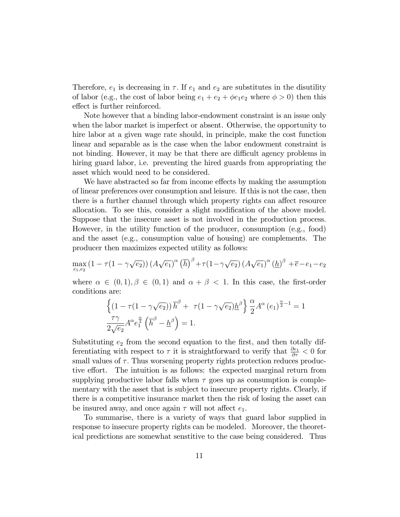Therefore,  $e_1$  is decreasing in  $\tau$ . If  $e_1$  and  $e_2$  are substitutes in the disutility of labor (e.g., the cost of labor being  $e_1 + e_2 + \phi e_1 e_2$  where  $\phi > 0$ ) then this effect is further reinforced.

Note however that a binding labor-endowment constraint is an issue only when the labor market is imperfect or absent. Otherwise, the opportunity to hire labor at a given wage rate should, in principle, make the cost function linear and separable as is the case when the labor endowment constraint is not binding. However, it may be that there are difficult agency problems in hiring guard labor, i.e. preventing the hired guards from appropriating the asset which would need to be considered.

We have abstracted so far from income effects by making the assumption of linear preferences over consumption and leisure. If this is not the case, then there is a further channel through which property rights can affect resource allocation. To see this, consider a slight modification of the above model. Suppose that the insecure asset is not involved in the production process. However, in the utility function of the producer, consumption (e.g., food) and the asset (e.g., consumption value of housing) are complements. The producer then maximizes expected utility as follows:

$$
\max_{e_1, e_2} (1 - \tau (1 - \gamma \sqrt{e_2})) (A \sqrt{e_1})^{\alpha} (\overline{h})^{\beta} + \tau (1 - \gamma \sqrt{e_2}) (A \sqrt{e_1})^{\alpha} (\underline{h})^{\beta} + \overline{e} - e_1 - e_2
$$

where  $\alpha \in (0,1), \beta \in (0,1)$  and  $\alpha + \beta < 1$ . In this case, the first-order conditions are:

$$
\left\{ \left(1 - \tau(1 - \gamma\sqrt{e_2})\right) \overline{h}^{\beta} + \tau(1 - \gamma\sqrt{e_2})\underline{h}^{\beta} \right\} \frac{\alpha}{2} A^{\alpha} (e_1)^{\frac{\alpha}{2} - 1} = 1
$$
  

$$
\frac{\tau\gamma}{2\sqrt{e_2}} A^{\alpha} e_1^{\frac{\alpha}{2}} \left( \overline{h}^{\beta} - \underline{h}^{\beta} \right) = 1.
$$

Substituting  $e_2$  from the second equation to the first, and then totally differentiating with respect to  $\tau$  it is straightforward to verify that  $\frac{\partial e_1}{\partial \tau} < 0$  for small values of  $\tau$ . Thus worsening property rights protection reduces productive effort. The intuition is as follows: the expected marginal return from supplying productive labor falls when  $\tau$  goes up as consumption is complementary with the asset that is subject to insecure property rights. Clearly, if there is a competitive insurance market then the risk of losing the asset can be insured away, and once again  $\tau$  will not affect  $e_1$ .

To summarise, there is a variety of ways that guard labor supplied in response to insecure property rights can be modeled. Moreover, the theoretical predictions are somewhat senstitive to the case being considered. Thus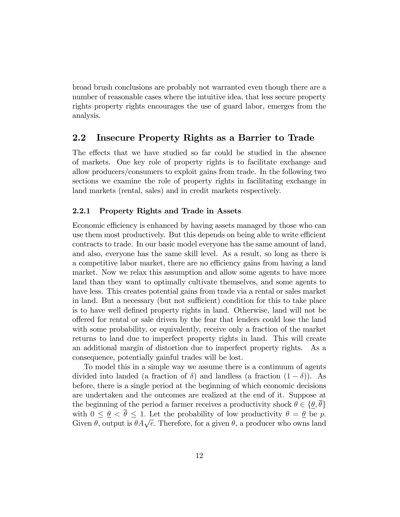broad brush conclusions are probably not warranted even though there are a number of reasonable cases where the intuitive idea, that less secure property rights property rights encourages the use of guard labor, emerges from the analysis.

### 2.2 Insecure Property Rights as a Barrier to Trade

The effects that we have studied so far could be studied in the absence of markets. One key role of property rights is to facilitate exchange and allow producers/consumers to exploit gains from trade. In the following two sections we examine the role of property rights in facilitating exchange in land markets (rental, sales) and in credit markets respectively.

#### 2.2.1 Property Rights and Trade in Assets

Economic efficiency is enhanced by having assets managed by those who can use them most productively. But this depends on being able to write efficient contracts to trade. In our basic model everyone has the same amount of land, and also, everyone has the same skill level. As a result, so long as there is a competitive labor market, there are no efficiency gains from having a land market. Now we relax this assumption and allow some agents to have more land than they want to optimally cultivate themselves, and some agents to have less. This creates potential gains from trade via a rental or sales market in land. But a necessary (but not sufficient) condition for this to take place is to have well defined property rights in land. Otherwise, land will not be o§ered for rental or sale driven by the fear that lenders could lose the land with some probability, or equivalently, receive only a fraction of the market returns to land due to imperfect property rights in land. This will create an additional margin of distortion due to imperfect property rights. As a consequence, potentially gainful trades will be lost.

To model this in a simple way we assume there is a continuum of agents divided into landed (a fraction of  $\delta$ ) and landless (a fraction  $(1 - \delta)$ ). As before, there is a single period at the beginning of which economic decisions are undertaken and the outcomes are realized at the end of it. Suppose at the beginning of the period a farmer receives a productivity shock  $\theta \in {\theta, \theta}$ with  $0 \leq \theta < \overline{\theta} \leq 1$ . Let the probability of low productivity  $\theta = \theta$  be p. Given  $\theta$ , output is  $\theta A\sqrt{e}$ . Therefore, for a given  $\theta$ , a producer who owns land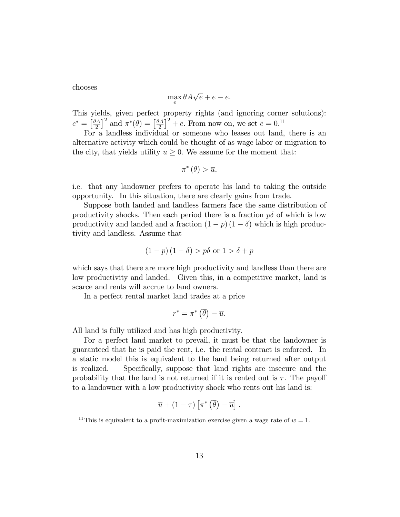chooses

$$
\max_{e} \theta A \sqrt{e} + \overline{e} - e.
$$

This yields, given perfect property rights (and ignoring corner solutions):  $e^* = \left[\frac{\theta A}{2}\right]$  $\left[\frac{\theta A}{2}\right]^2$  and  $\pi^*(\theta) = \left[\frac{\theta A}{2}\right]$  $\left(\frac{24}{2}\right)^2 + \overline{e}$ . From now on, we set  $\overline{e} = 0$ .<sup>11</sup>

For a landless individual or someone who leases out land, there is an alternative activity which could be thought of as wage labor or migration to the city, that yields utility  $\overline{u} \geq 0$ . We assume for the moment that:

$$
\pi^*\left(\underline{\theta}\right) > \overline{u},
$$

i.e. that any landowner prefers to operate his land to taking the outside opportunity. In this situation, there are clearly gains from trade.

Suppose both landed and landless farmers face the same distribution of productivity shocks. Then each period there is a fraction  $p\delta$  of which is low productivity and landed and a fraction  $(1 - p)(1 - \delta)$  which is high productivity and landless. Assume that

$$
(1-p)(1-\delta) > p\delta \text{ or } 1 > \delta + p
$$

which says that there are more high productivity and landless than there are low productivity and landed. Given this, in a competitive market, land is scarce and rents will accrue to land owners.

In a perfect rental market land trades at a price

$$
r^* = \pi^* \left(\overline{\theta}\right) - \overline{u}.
$$

All land is fully utilized and has high productivity.

For a perfect land market to prevail, it must be that the landowner is guaranteed that he is paid the rent, i.e. the rental contract is enforced. In a static model this is equivalent to the land being returned after output is realized. Specifically, suppose that land rights are insecure and the probability that the land is not returned if it is rented out is  $\tau$ . The payoff to a landowner with a low productivity shock who rents out his land is:

$$
\overline{u} + (1 - \tau) \left[ \pi^* \left( \overline{\theta} \right) - \overline{u} \right].
$$

<sup>&</sup>lt;sup>11</sup>This is equivalent to a profit-maximization exercise given a wage rate of  $w = 1$ .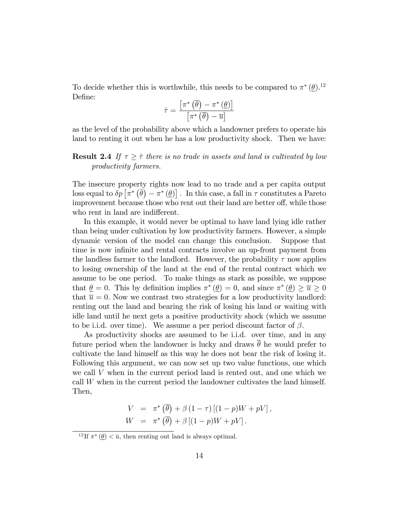To decide whether this is worthwhile, this needs to be compared to  $\pi^*(\underline{\theta})$ .<sup>12</sup> Define:

$$
\hat{\tau} = \frac{\left[\pi^* \left(\overline{\theta}\right) - \pi^* \left(\underline{\theta}\right)\right]}{\left[\pi^* \left(\overline{\theta}\right) - \overline{u}\right]}
$$

as the level of the probability above which a landowner prefers to operate his land to renting it out when he has a low productivity shock. Then we have:

### **Result 2.4** If  $\tau \geq \hat{\tau}$  there is no trade in assets and land is cultivated by low productivity farmers.

The insecure property rights now lead to no trade and a per capita output loss equal to  $\delta p \left[ \pi^* (\bar{\theta}) - \pi^* (\underline{\theta}) \right]$ . In this case, a fall in  $\tau$  constitutes a Pareto improvement because those who rent out their land are better off, while those who rent in land are indifferent.

In this example, it would never be optimal to have land lying idle rather than being under cultivation by low productivity farmers. However, a simple dynamic version of the model can change this conclusion. Suppose that time is now infinite and rental contracts involve an up-front payment from the landless farmer to the landlord. However, the probability  $\tau$  now applies to losing ownership of the land at the end of the rental contract which we assume to be one period. To make things as stark as possible, we suppose that  $\underline{\theta} = 0$ . This by definition implies  $\pi^*(\underline{\theta}) = 0$ , and since  $\pi^*(\underline{\theta}) \ge \overline{u} \ge 0$ that  $\bar{u} = 0$ . Now we contrast two strategies for a low productivity landlord: renting out the land and bearing the risk of losing his land or waiting with idle land until he next gets a positive productivity shock (which we assume to be i.i.d. over time). We assume a per period discount factor of  $\beta$ .

As productivity shocks are assumed to be i.i.d. over time, and in any future period when the landowner is lucky and draws  $\bar{\theta}$  he would prefer to cultivate the land himself as this way he does not bear the risk of losing it. Following this argument, we can now set up two value functions, one which we call V when in the current period land is rented out, and one which we call W when in the current period the landowner cultivates the land himself. Then,

$$
V = \pi^* (\overline{\theta}) + \beta (1 - \tau) [(1 - p)W + pV],
$$
  
\n
$$
W = \pi^* (\overline{\theta}) + \beta [(1 - p)W + pV].
$$

<sup>&</sup>lt;sup>12</sup>If  $\pi^*(\underline{\theta}) < \bar{u}$ , then renting out land is always optimal.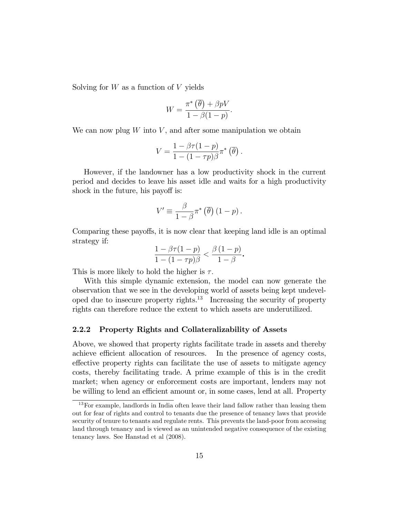Solving for  $W$  as a function of  $V$  yields

$$
W = \frac{\pi^* \left(\overline{\theta}\right) + \beta pV}{1 - \beta(1 - p)}.
$$

We can now plug  $W$  into  $V$ , and after some manipulation we obtain

$$
V = \frac{1 - \beta \tau (1 - p)}{1 - (1 - \tau p)\beta} \pi^* (\overline{\theta}).
$$

However, if the landowner has a low productivity shock in the current period and decides to leave his asset idle and waits for a high productivity shock in the future, his payoff is:

$$
V' \equiv \frac{\beta}{1-\beta} \pi^* \left( \overline{\theta} \right) (1-p).
$$

Comparing these payoffs, it is now clear that keeping land idle is an optimal strategy if:

$$
\frac{1-\beta\tau(1-p)}{1-(1-\tau p)\beta} < \frac{\beta(1-p)}{1-\beta}.
$$

This is more likely to hold the higher is  $\tau$ .

With this simple dynamic extension, the model can now generate the observation that we see in the developing world of assets being kept undeveloped due to insecure property rights. $13$  Increasing the security of property rights can therefore reduce the extent to which assets are underutilized.

#### 2.2.2 Property Rights and Collateralizability of Assets

Above, we showed that property rights facilitate trade in assets and thereby achieve efficient allocation of resources. In the presence of agency costs, effective property rights can facilitate the use of assets to mitigate agency costs, thereby facilitating trade. A prime example of this is in the credit market; when agency or enforcement costs are important, lenders may not be willing to lend an efficient amount or, in some cases, lend at all. Property

<sup>13</sup>For example, landlords in India often leave their land fallow rather than leasing them out for fear of rights and control to tenants due the presence of tenancy laws that provide security of tenure to tenants and regulate rents. This prevents the land-poor from accessing land through tenancy and is viewed as an unintended negative consequence of the existing tenancy laws. See Hanstad et al (2008).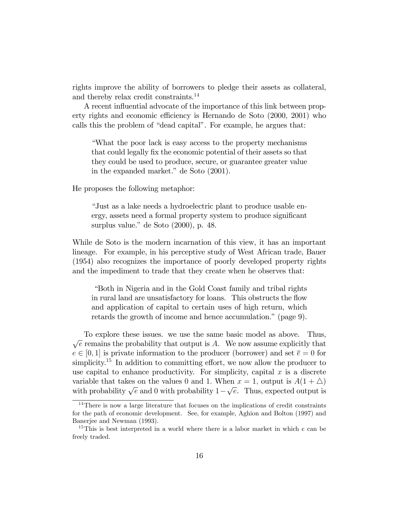rights improve the ability of borrowers to pledge their assets as collateral, and thereby relax credit constraints.<sup>14</sup>

A recent influential advocate of the importance of this link between property rights and economic efficiency is Hernando de Soto (2000, 2001) who calls this the problem of "dead capital". For example, he argues that:

ìWhat the poor lack is easy access to the property mechanisms that could legally fix the economic potential of their assets so that they could be used to produce, secure, or guarantee greater value in the expanded market." de Soto  $(2001)$ .

He proposes the following metaphor:

ìJust as a lake needs a hydroelectric plant to produce usable energy, assets need a formal property system to produce significant surplus value." de Soto  $(2000)$ , p. 48.

While de Soto is the modern incarnation of this view, it has an important lineage. For example, in his perceptive study of West African trade, Bauer (1954) also recognizes the importance of poorly developed property rights and the impediment to trade that they create when he observes that:

ìBoth in Nigeria and in the Gold Coast family and tribal rights in rural land are unsatisfactory for loans. This obstructs the flow and application of capital to certain uses of high return, which retards the growth of income and hence accumulation." (page 9).

To explore these issues. we use the same basic model as above. Thus,  $\sqrt{e}$  remains the probability that output is A. We now assume explicitly that  $e \in [0, 1]$  is private information to the producer (borrower) and set  $\overline{e} = 0$  for simplicity.<sup>15</sup> In addition to committing effort, we now allow the producer to use capital to enhance productivity. For simplicity, capital  $x$  is a discrete variable that takes on the values 0 and 1. When  $x = 1$ , output is  $A(1 + \triangle)$ with probability  $\sqrt{e}$  and 0 with probability  $1-\sqrt{e}$ . Thus, expected output is

<sup>&</sup>lt;sup>14</sup>There is now a large literature that focuses on the implications of credit constraints for the path of economic development. See, for example, Aghion and Bolton (1997) and Banerjee and Newman (1993).

<sup>&</sup>lt;sup>15</sup>This is best interpreted in a world where there is a labor market in which  $e$  can be freely traded.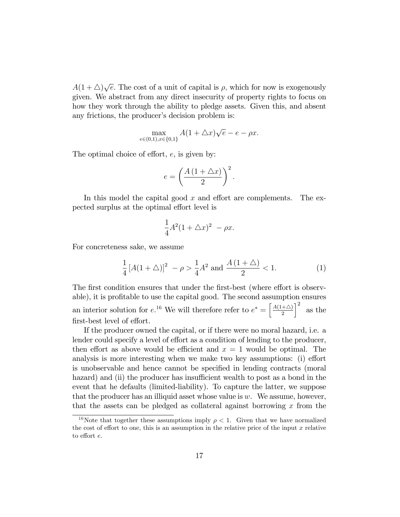$A(1+\triangle)\sqrt{e}$ . The cost of a unit of capital is  $\rho$ , which for now is exogenously given. We abstract from any direct insecurity of property rights to focus on how they work through the ability to pledge assets. Given this, and absent any frictions, the producer's decision problem is:

$$
\max_{e \in (0,1), x \in \{0,1\}} A(1 + \triangle x)\sqrt{e} - e - \rho x.
$$

The optimal choice of effort,  $e$ , is given by:

$$
e = \left(\frac{A(1 + \triangle x)}{2}\right)^2.
$$

In this model the capital good x and effort are complements. The expected surplus at the optimal effort level is

$$
\frac{1}{4}A^2(1+\triangle x)^2 - \rho x.
$$

For concreteness sake, we assume

$$
\frac{1}{4} [A(1+\Delta)]^2 - \rho > \frac{1}{4} A^2 \text{ and } \frac{A(1+\Delta)}{2} < 1.
$$
 (1)

The first condition ensures that under the first-best (where effort is observable), it is profitable to use the capital good. The second assumption ensures an interior solution for  $e^{16}$  We will therefore refer to  $e^* = \left[\frac{A(1+\triangle)}{2}\right]$  $\int_0^2$  as the first-best level of effort.

If the producer owned the capital, or if there were no moral hazard, i.e. a lender could specify a level of effort as a condition of lending to the producer, then effort as above would be efficient and  $x = 1$  would be optimal. The analysis is more interesting when we make two key assumptions: (i) effort is unobservable and hence cannot be specified in lending contracts (moral hazard) and (ii) the producer has insufficient wealth to post as a bond in the event that he defaults (limited-liability). To capture the latter, we suppose that the producer has an illiquid asset whose value is  $w$ . We assume, however, that the assets can be pledged as collateral against borrowing  $x$  from the

<sup>&</sup>lt;sup>16</sup>Note that together these assumptions imply  $\rho < 1$ . Given that we have normalized the cost of effort to one, this is an assumption in the relative price of the input  $x$  relative to effort  $e$ .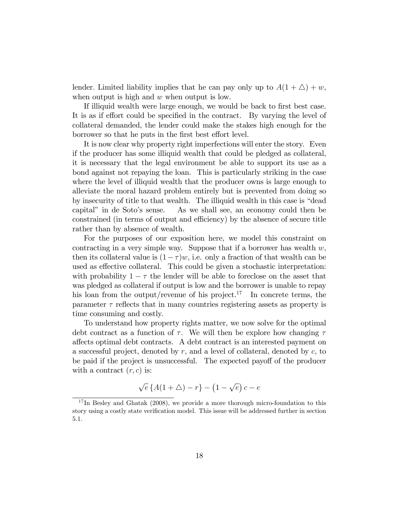lender. Limited liability implies that he can pay only up to  $A(1 + \triangle) + w$ , when output is high and  $w$  when output is low.

If illiquid wealth were large enough, we would be back to first best case. It is as if effort could be specified in the contract. By varying the level of collateral demanded, the lender could make the stakes high enough for the borrower so that he puts in the first best effort level.

It is now clear why property right imperfections will enter the story. Even if the producer has some illiquid wealth that could be pledged as collateral, it is necessary that the legal environment be able to support its use as a bond against not repaying the loan. This is particularly striking in the case where the level of illiquid wealth that the producer owns is large enough to alleviate the moral hazard problem entirely but is prevented from doing so by insecurity of title to that wealth. The illiquid wealth in this case is "dead capital" in de Soto's sense. As we shall see, an economy could then be constrained (in terms of output and efficiency) by the absence of secure title rather than by absence of wealth.

For the purposes of our exposition here, we model this constraint on contracting in a very simple way. Suppose that if a borrower has wealth  $w$ , then its collateral value is  $(1 - \tau)w$ , i.e. only a fraction of that wealth can be used as effective collateral. This could be given a stochastic interpretation: with probability  $1 - \tau$  the lender will be able to foreclose on the asset that was pledged as collateral if output is low and the borrower is unable to repay his loan from the output/revenue of his project.<sup>17</sup> In concrete terms, the parameter  $\tau$  reflects that in many countries registering assets as property is time consuming and costly.

To understand how property rights matter, we now solve for the optimal debt contract as a function of  $\tau$ . We will then be explore how changing  $\tau$ a§ects optimal debt contracts. A debt contract is an interested payment on a successful project, denoted by  $r$ , and a level of collateral, denoted by  $c$ , to be paid if the project is unsuccessful. The expected payoff of the producer with a contract  $(r, c)$  is:

$$
\sqrt{e}\left\{A(1+\triangle)-r\right\}-\left(1-\sqrt{e}\right)c-e
$$

 $17$  In Besley and Ghatak (2008), we provide a more thorough micro-foundation to this story using a costly state verification model. This issue will be addressed further in section 5.1.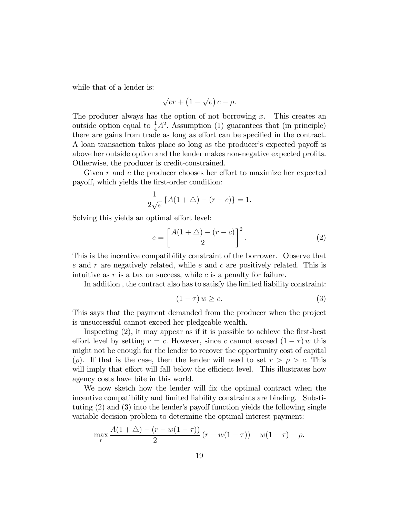while that of a lender is:

$$
\sqrt{e}r + \left(1 - \sqrt{e}\right)c - \rho.
$$

The producer always has the option of not borrowing  $x$ . This creates an outside option equal to  $\frac{1}{4}A^2$ . Assumption (1) guarantees that (in principle) there are gains from trade as long as effort can be specified in the contract. A loan transaction takes place so long as the producer's expected payoff is above her outside option and the lender makes non-negative expected profits. Otherwise, the producer is credit-constrained.

Given  $r$  and  $c$  the producer chooses her effort to maximize her expected payoff, which yields the first-order condition:

$$
\frac{1}{2\sqrt{e}}\left\{A(1+\triangle) - (r-c)\right\} = 1.
$$

Solving this yields an optimal effort level:

$$
e = \left[\frac{A(1+\triangle) - (r-c)}{2}\right]^2.
$$
 (2)

This is the incentive compatibility constraint of the borrower. Observe that  $e$  and r are negatively related, while  $e$  and  $c$  are positively related. This is intuitive as r is a tax on success, while c is a penalty for failure.

In addition , the contract also has to satisfy the limited liability constraint:

$$
(1 - \tau) w \ge c. \tag{3}
$$

This says that the payment demanded from the producer when the project is unsuccessful cannot exceed her pledgeable wealth.

Inspecting  $(2)$ , it may appear as if it is possible to achieve the first-best effort level by setting  $r = c$ . However, since c cannot exceed  $(1 - \tau) w$  this might not be enough for the lender to recover the opportunity cost of capital  $(\rho)$ . If that is the case, then the lender will need to set  $r > \rho > c$ . This will imply that effort will fall below the efficient level. This illustrates how agency costs have bite in this world.

We now sketch how the lender will fix the optimal contract when the incentive compatibility and limited liability constraints are binding. Substituting  $(2)$  and  $(3)$  into the lender's payoff function yields the following single variable decision problem to determine the optimal interest payment:

$$
\max_{r} \frac{A(1+\Delta)-(r-w(1-\tau))}{2} (r-w(1-\tau)) + w(1-\tau) - \rho.
$$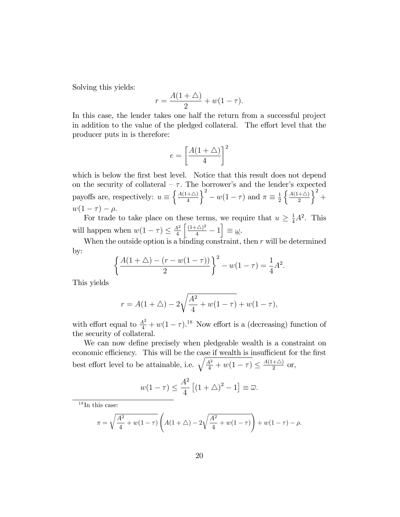Solving this yields:

$$
r = \frac{A(1 + \Delta)}{2} + w(1 - \tau).
$$

In this case, the lender takes one half the return from a successful project in addition to the value of the pledged collateral. The effort level that the producer puts in is therefore:

$$
e = \left[\frac{A(1+\triangle)}{4}\right]^2
$$

which is below the first best level. Notice that this result does not depend on the security of collateral  $-\tau$ . The borrower's and the lender's expected payoffs are, respectively:  $u \equiv \begin{cases} \frac{A(1+\triangle)}{4} \end{cases}$  $\bigg\}^2 - w(1-\tau)$  and  $\pi \equiv \frac{1}{2}$ 2  $\bigg\{\frac{A(1+\triangle)}{2}$  $\left.\right\}^2 +$  $w(1-\tau) - \rho.$ 

For trade to take place on these terms, we require that  $u \geq \frac{1}{4}A^2$ . This will happen when  $w(1-\tau) \leq \frac{A^2}{4}$ 4  $\left\lceil \frac{(1+\triangle)^2}{4} - 1 \right\rceil \equiv \underline{\omega}.$ 

When the outside option is a binding constraint, then  $r$  will be determined by:

$$
\left\{\frac{A(1+\triangle)-(r-w(1-\tau))}{2}\right\}^2-w(1-\tau)=\frac{1}{4}A^2.
$$

This yields

$$
r = A(1 + \triangle) - 2\sqrt{\frac{A^2}{4} + w(1 - \tau)} + w(1 - \tau),
$$

with effort equal to  $\frac{A^2}{4} + w(1-\tau)$ .<sup>18</sup> Now effort is a (decreasing) function of the security of collateral.

We can now define precisely when pledgeable wealth is a constraint on economic efficiency. This will be the case if wealth is insufficient for the first best effort level to be attainable, i.e.  $\sqrt{\frac{A^2}{4} + w(1-\tau)} \leq \frac{A(1+\Delta)}{2}$  or,

$$
w(1-\tau) \le \frac{A^2}{4} \left[ (1+\triangle)^2 - 1 \right] \equiv \overline{\omega}.
$$

 $^{18}{\rm In}$  this case:

$$
\pi = \sqrt{\frac{A^2}{4} + w(1-\tau)} \left( A(1+\Delta) - 2\sqrt{\frac{A^2}{4} + w(1-\tau)} \right) + w(1-\tau) - \rho.
$$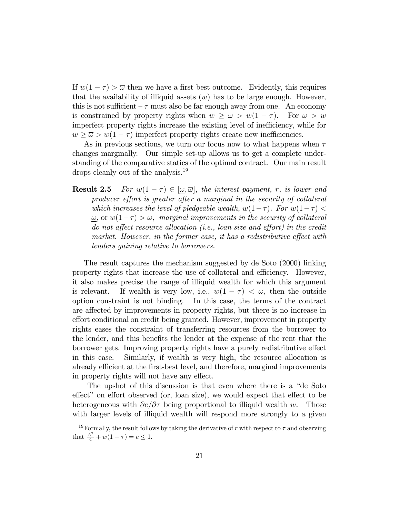If  $w(1 - \tau) > \overline{\omega}$  then we have a first best outcome. Evidently, this requires that the availability of illiquid assets  $(w)$  has to be large enough. However, this is not sufficient  $-\tau$  must also be far enough away from one. An economy is constrained by property rights when  $w > \overline{\omega} > w(1 - \tau)$ . For  $\overline{\omega} > w$ . imperfect property rights increase the existing level of inefficiency, while for  $w \ge \overline{\omega} > w(1-\tau)$  imperfect property rights create new inefficiencies.

As in previous sections, we turn our focus now to what happens when  $\tau$ changes marginally. Our simple set-up allows us to get a complete understanding of the comparative statics of the optimal contract. Our main result drops cleanly out of the analysis.<sup>19</sup>

**Result 2.5** For  $w(1 - \tau) \in [\underline{\omega}, \overline{\omega}]$ , the interest payment, r, is lower and producer effort is greater after a marginal in the security of collateral which increases the level of pledgeable wealth,  $w(1 - \tau)$ . For  $w(1 - \tau)$  $\omega$ , or  $w(1-\tau) > \overline{\omega}$ , marginal improvements in the security of collateral do not affect resource allocation (i.e., loan size and effort) in the credit market. However, in the former case, it has a redistributive effect with lenders gaining relative to borrowers.

The result captures the mechanism suggested by de Soto (2000) linking property rights that increase the use of collateral and efficiency. However, it also makes precise the range of illiquid wealth for which this argument is relevant. If wealth is very low, i.e.,  $w(1 - \tau) < \omega$ , then the outside option constraint is not binding. In this case, the terms of the contract are affected by improvements in property rights, but there is no increase in effort conditional on credit being granted. However, improvement in property rights eases the constraint of transferring resources from the borrower to the lender, and this benefits the lender at the expense of the rent that the borrower gets. Improving property rights have a purely redistributive effect in this case. Similarly, if wealth is very high, the resource allocation is already efficient at the first-best level, and therefore, marginal improvements in property rights will not have any effect.

The upshot of this discussion is that even where there is a "de Soto effect" on effort observed (or, loan size), we would expect that effect to be heterogeneous with  $\partial e/\partial \tau$  being proportional to illiquid wealth w. Those with larger levels of illiquid wealth will respond more strongly to a given

<sup>&</sup>lt;sup>19</sup>Formally, the result follows by taking the derivative of r with respect to  $\tau$  and observing that  $\frac{A^2}{4} + w(1 - \tau) = e \le 1$ .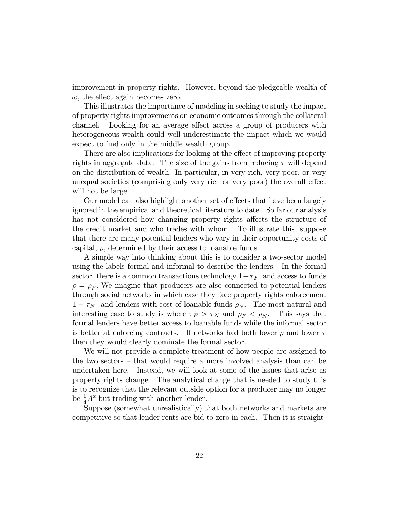improvement in property rights. However, beyond the pledgeable wealth of  $\overline{\omega}$ , the effect again becomes zero.

This illustrates the importance of modeling in seeking to study the impact of property rights improvements on economic outcomes through the collateral channel. Looking for an average effect across a group of producers with heterogeneous wealth could well underestimate the impact which we would expect to find only in the middle wealth group.

There are also implications for looking at the effect of improving property rights in aggregate data. The size of the gains from reducing  $\tau$  will depend on the distribution of wealth. In particular, in very rich, very poor, or very unequal societies (comprising only very rich or very poor) the overall effect will not be large.

Our model can also highlight another set of effects that have been largely ignored in the empirical and theoretical literature to date. So far our analysis has not considered how changing property rights affects the structure of the credit market and who trades with whom. To illustrate this, suppose that there are many potential lenders who vary in their opportunity costs of capital,  $\rho$ , determined by their access to loanable funds.

A simple way into thinking about this is to consider a two-sector model using the labels formal and informal to describe the lenders. In the formal sector, there is a common transactions technology  $1-\tau_F$  and access to funds  $\rho = \rho_F$ . We imagine that producers are also connected to potential lenders through social networks in which case they face property rights enforcement  $1 - \tau_N$  and lenders with cost of loanable funds  $\rho_N$ . The most natural and interesting case to study is where  $\tau_F > \tau_N$  and  $\rho_F < \rho_N$ . This says that formal lenders have better access to loanable funds while the informal sector is better at enforcing contracts. If networks had both lower  $\rho$  and lower  $\tau$ then they would clearly dominate the formal sector.

We will not provide a complete treatment of how people are assigned to the two sectors  $-$  that would require a more involved analysis than can be undertaken here. Instead, we will look at some of the issues that arise as property rights change. The analytical change that is needed to study this is to recognize that the relevant outside option for a producer may no longer be  $\frac{1}{4}A^2$  but trading with another lender.

Suppose (somewhat unrealistically) that both networks and markets are competitive so that lender rents are bid to zero in each. Then it is straight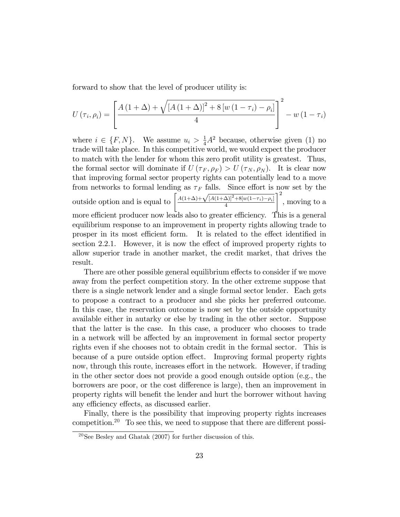forward to show that the level of producer utility is:

$$
U\left(\tau_{i},\rho_{i}\right) = \left[\frac{A\left(1+\Delta\right)+\sqrt{\left[A\left(1+\Delta\right)\right]^{2}+8\left[w\left(1-\tau_{i}\right)-\rho_{i}\right]} }{4}\right]^{2} - w\left(1-\tau_{i}\right)
$$

where  $i \in \{F, N\}$ . We assume  $u_i > \frac{1}{4}A^2$  because, otherwise given (1) no trade will take place. In this competitive world, we would expect the producer to match with the lender for whom this zero profit utility is greatest. Thus, the formal sector will dominate if  $U(\tau_F, \rho_F) > U(\tau_N, \rho_N)$ . It is clear now that improving formal sector property rights can potentially lead to a move from networks to formal lending as  $\tau_F$  falls. Since effort is now set by the outside option and is equal to  $\int_{0}^{\infty} \frac{A(1+\Delta)+\sqrt{[A(1+\Delta)]^2+8[w(1-\tau_i)-\rho_i]}}{4}$ 4  $\vert$ <sup>2</sup> , moving to a more efficient producer now leads also to greater efficiency. This is a general equilibrium response to an improvement in property rights allowing trade to prosper in its most efficient form. It is related to the effect identified in section 2.2.1. However, it is now the effect of improved property rights to allow superior trade in another market, the credit market, that drives the result.

There are other possible general equilibrium effects to consider if we move away from the perfect competition story. In the other extreme suppose that there is a single network lender and a single formal sector lender. Each gets to propose a contract to a producer and she picks her preferred outcome. In this case, the reservation outcome is now set by the outside opportunity available either in autarky or else by trading in the other sector. Suppose that the latter is the case. In this case, a producer who chooses to trade in a network will be affected by an improvement in formal sector property rights even if she chooses not to obtain credit in the formal sector. This is because of a pure outside option effect. Improving formal property rights now, through this route, increases effort in the network. However, if trading in the other sector does not provide a good enough outside option (e.g., the borrowers are poor, or the cost difference is large), then an improvement in property rights will benefit the lender and hurt the borrower without having any efficiency effects, as discussed earlier.

Finally, there is the possibility that improving property rights increases competition.<sup>20</sup> To see this, we need to suppose that there are different possi-

 $20$ See Besley and Ghatak (2007) for further discussion of this.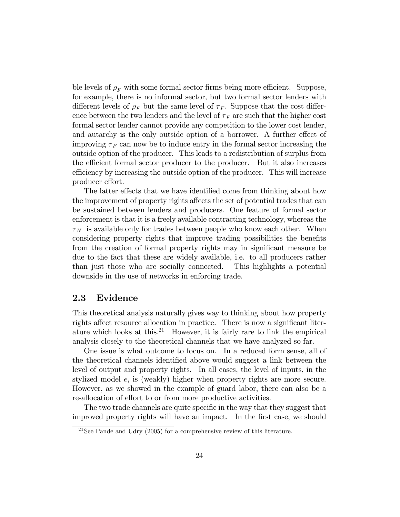ble levels of  $\rho_F$  with some formal sector firms being more efficient. Suppose, for example, there is no informal sector, but two formal sector lenders with different levels of  $\rho_F$  but the same level of  $\tau_F$ . Suppose that the cost difference between the two lenders and the level of  $\tau_F$  are such that the higher cost formal sector lender cannot provide any competition to the lower cost lender, and autarchy is the only outside option of a borrower. A further effect of improving  $\tau_F$  can now be to induce entry in the formal sector increasing the outside option of the producer. This leads to a redistribution of surplus from the efficient formal sector producer to the producer. But it also increases efficiency by increasing the outside option of the producer. This will increase producer effort.

The latter effects that we have identified come from thinking about how the improvement of property rights affects the set of potential trades that can be sustained between lenders and producers. One feature of formal sector enforcement is that it is a freely available contracting technology, whereas the  $\tau_N$  is available only for trades between people who know each other. When considering property rights that improve trading possibilities the benefits from the creation of formal property rights may in significant measure be due to the fact that these are widely available, i.e. to all producers rather than just those who are socially connected. This highlights a potential downside in the use of networks in enforcing trade.

### 2.3 Evidence

This theoretical analysis naturally gives way to thinking about how property rights affect resource allocation in practice. There is now a significant literature which looks at this.<sup>21</sup> However, it is fairly rare to link the empirical analysis closely to the theoretical channels that we have analyzed so far.

One issue is what outcome to focus on. In a reduced form sense, all of the theoretical channels identified above would suggest a link between the level of output and property rights. In all cases, the level of inputs, in the stylized model e, is (weakly) higher when property rights are more secure. However, as we showed in the example of guard labor, there can also be a re-allocation of effort to or from more productive activities.

The two trade channels are quite specific in the way that they suggest that improved property rights will have an impact. In the first case, we should

<sup>&</sup>lt;sup>21</sup>See Pande and Udry  $(2005)$  for a comprehensive review of this literature.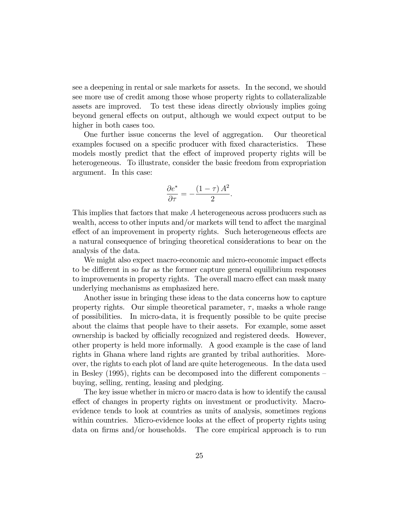see a deepening in rental or sale markets for assets. In the second, we should see more use of credit among those whose property rights to collateralizable assets are improved. To test these ideas directly obviously implies going beyond general effects on output, although we would expect output to be higher in both cases too.

One further issue concerns the level of aggregation. Our theoretical examples focused on a specific producer with fixed characteristics. These models mostly predict that the effect of improved property rights will be heterogeneous. To illustrate, consider the basic freedom from expropriation argument. In this case:

$$
\frac{\partial e^*}{\partial \tau} = -\frac{(1-\tau) A^2}{2}.
$$

This implies that factors that make A heterogeneous across producers such as wealth, access to other inputs and/or markets will tend to affect the marginal effect of an improvement in property rights. Such heterogeneous effects are a natural consequence of bringing theoretical considerations to bear on the analysis of the data.

We might also expect macro-economic and micro-economic impact effects to be different in so far as the former capture general equilibrium responses to improvements in property rights. The overall macro effect can mask many underlying mechanisms as emphasized here.

Another issue in bringing these ideas to the data concerns how to capture property rights. Our simple theoretical parameter,  $\tau$ , masks a whole range of possibilities. In micro-data, it is frequently possible to be quite precise about the claims that people have to their assets. For example, some asset ownership is backed by officially recognized and registered deeds. However, other property is held more informally. A good example is the case of land rights in Ghana where land rights are granted by tribal authorities. Moreover, the rights to each plot of land are quite heterogeneous. In the data used in Besley (1995), rights can be decomposed into the different components  $$ buying, selling, renting, leasing and pledging.

The key issue whether in micro or macro data is how to identify the causal effect of changes in property rights on investment or productivity. Macroevidence tends to look at countries as units of analysis, sometimes regions within countries. Micro-evidence looks at the effect of property rights using data on firms and/or households. The core empirical approach is to run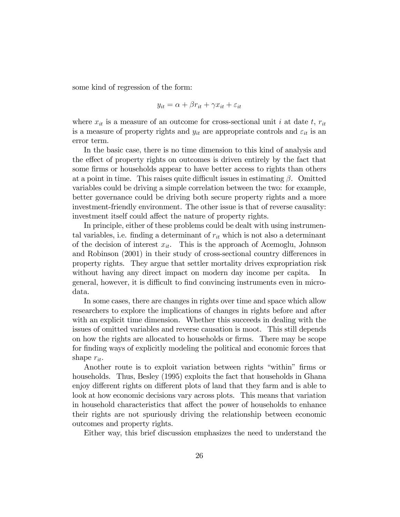some kind of regression of the form:

$$
y_{it} = \alpha + \beta r_{it} + \gamma x_{it} + \varepsilon_{it}
$$

where  $x_{it}$  is a measure of an outcome for cross-sectional unit i at date t,  $r_{it}$ is a measure of property rights and  $y_{it}$  are appropriate controls and  $\varepsilon_{it}$  is an error term.

In the basic case, there is no time dimension to this kind of analysis and the effect of property rights on outcomes is driven entirely by the fact that some firms or households appear to have better access to rights than others at a point in time. This raises quite difficult issues in estimating  $\beta$ . Omitted variables could be driving a simple correlation between the two: for example, better governance could be driving both secure property rights and a more investment-friendly environment. The other issue is that of reverse causality: investment itself could affect the nature of property rights.

In principle, either of these problems could be dealt with using instrumental variables, i.e. finding a determinant of  $r_{it}$  which is not also a determinant of the decision of interest  $x_{it}$ . This is the approach of Acemoglu, Johnson and Robinson  $(2001)$  in their study of cross-sectional country differences in property rights. They argue that settler mortality drives expropriation risk without having any direct impact on modern day income per capita. In general, however, it is difficult to find convincing instruments even in microdata.

In some cases, there are changes in rights over time and space which allow researchers to explore the implications of changes in rights before and after with an explicit time dimension. Whether this succeeds in dealing with the issues of omitted variables and reverse causation is moot. This still depends on how the rights are allocated to households or firms. There may be scope for Önding ways of explicitly modeling the political and economic forces that shape  $r_{it}$ .

Another route is to exploit variation between rights "within" firms or households. Thus, Besley (1995) exploits the fact that households in Ghana enjoy different rights on different plots of land that they farm and is able to look at how economic decisions vary across plots. This means that variation in household characteristics that affect the power of households to enhance their rights are not spuriously driving the relationship between economic outcomes and property rights.

Either way, this brief discussion emphasizes the need to understand the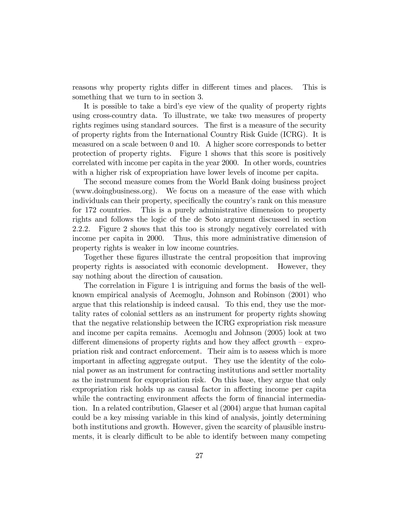reasons why property rights differ in different times and places. This is something that we turn to in section 3.

It is possible to take a bird's eye view of the quality of property rights using cross-country data. To illustrate, we take two measures of property rights regimes using standard sources. The first is a measure of the security of property rights from the International Country Risk Guide (ICRG). It is measured on a scale between 0 and 10. A higher score corresponds to better protection of property rights. Figure 1 shows that this score is positively correlated with income per capita in the year 2000. In other words, countries with a higher risk of expropriation have lower levels of income per capita.

The second measure comes from the World Bank doing business project (www.doingbusiness.org). We focus on a measure of the ease with which individuals can their property, specifically the country's rank on this measure for 172 countries. This is a purely administrative dimension to property rights and follows the logic of the de Soto argument discussed in section 2.2.2. Figure 2 shows that this too is strongly negatively correlated with income per capita in 2000. Thus, this more administrative dimension of property rights is weaker in low income countries.

Together these Ögures illustrate the central proposition that improving property rights is associated with economic development. However, they say nothing about the direction of causation.

The correlation in Figure 1 is intriguing and forms the basis of the wellknown empirical analysis of Acemoglu, Johnson and Robinson (2001) who argue that this relationship is indeed causal. To this end, they use the mortality rates of colonial settlers as an instrument for property rights showing that the negative relationship between the ICRG expropriation risk measure and income per capita remains. Acemoglu and Johnson (2005) look at two different dimensions of property rights and how they affect growth  $-$  expropriation risk and contract enforcement. Their aim is to assess which is more important in affecting aggregate output. They use the identity of the colonial power as an instrument for contracting institutions and settler mortality as the instrument for expropriation risk. On this base, they argue that only expropriation risk holds up as causal factor in affecting income per capita while the contracting environment affects the form of financial intermediation. In a related contribution, Glaeser et al (2004) argue that human capital could be a key missing variable in this kind of analysis, jointly determining both institutions and growth. However, given the scarcity of plausible instruments, it is clearly difficult to be able to identify between many competing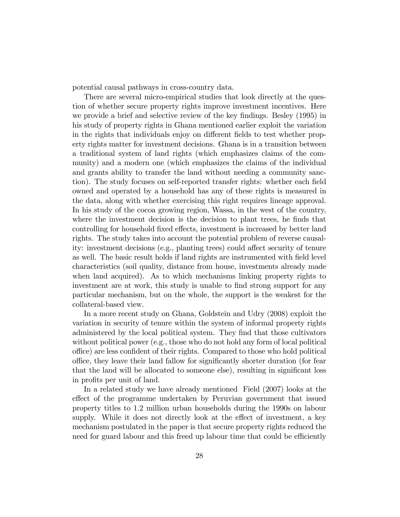potential causal pathways in cross-country data.

There are several micro-empirical studies that look directly at the question of whether secure property rights improve investment incentives. Here we provide a brief and selective review of the key findings. Besley (1995) in his study of property rights in Ghana mentioned earlier exploit the variation in the rights that individuals enjoy on different fields to test whether property rights matter for investment decisions. Ghana is in a transition between a traditional system of land rights (which emphasizes claims of the community) and a modern one (which emphasizes the claims of the individual and grants ability to transfer the land without needing a community sanction). The study focuses on self-reported transfer rights: whether each field owned and operated by a household has any of these rights is measured in the data, along with whether exercising this right requires lineage approval. In his study of the cocoa growing region, Wassa, in the west of the country, where the investment decision is the decision to plant trees, he finds that controlling for household fixed effects, investment is increased by better land rights. The study takes into account the potential problem of reverse causality: investment decisions (e.g., planting trees) could affect security of tenure as well. The basic result holds if land rights are instrumented with field level characteristics (soil quality, distance from house, investments already made when land acquired). As to which mechanisms linking property rights to investment are at work, this study is unable to find strong support for any particular mechanism, but on the whole, the support is the weakest for the collateral-based view.

In a more recent study on Ghana, Goldstein and Udry (2008) exploit the variation in security of tenure within the system of informal property rights administered by the local political system. They find that those cultivators without political power (e.g., those who do not hold any form of local political o¢ ce) are less conÖdent of their rights. Compared to those who hold political office, they leave their land fallow for significantly shorter duration (for fear that the land will be allocated to someone else), resulting in significant loss in profits per unit of land.

In a related study we have already mentioned Field (2007) looks at the effect of the programme undertaken by Peruvian government that issued property titles to 1.2 million urban households during the 1990s on labour supply. While it does not directly look at the effect of investment, a key mechanism postulated in the paper is that secure property rights reduced the need for guard labour and this freed up labour time that could be efficiently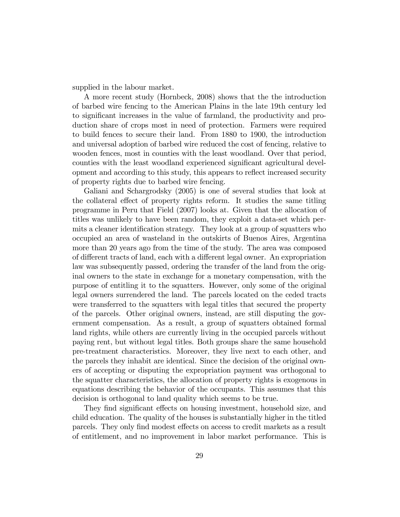supplied in the labour market.

A more recent study (Hornbeck, 2008) shows that the the introduction of barbed wire fencing to the American Plains in the late 19th century led to significant increases in the value of farmland, the productivity and production share of crops most in need of protection. Farmers were required to build fences to secure their land. From 1880 to 1900, the introduction and universal adoption of barbed wire reduced the cost of fencing, relative to wooden fences, most in counties with the least woodland. Over that period, counties with the least woodland experienced significant agricultural development and according to this study, this appears to reáect increased security of property rights due to barbed wire fencing.

Galiani and Schargrodsky (2005) is one of several studies that look at the collateral effect of property rights reform. It studies the same titling programme in Peru that Field (2007) looks at. Given that the allocation of titles was unlikely to have been random, they exploit a data-set which permits a cleaner identification strategy. They look at a group of squatters who occupied an area of wasteland in the outskirts of Buenos Aires, Argentina more than 20 years ago from the time of the study. The area was composed of different tracts of land, each with a different legal owner. An expropriation law was subsequently passed, ordering the transfer of the land from the original owners to the state in exchange for a monetary compensation, with the purpose of entitling it to the squatters. However, only some of the original legal owners surrendered the land. The parcels located on the ceded tracts were transferred to the squatters with legal titles that secured the property of the parcels. Other original owners, instead, are still disputing the government compensation. As a result, a group of squatters obtained formal land rights, while others are currently living in the occupied parcels without paying rent, but without legal titles. Both groups share the same household pre-treatment characteristics. Moreover, they live next to each other, and the parcels they inhabit are identical. Since the decision of the original owners of accepting or disputing the expropriation payment was orthogonal to the squatter characteristics, the allocation of property rights is exogenous in equations describing the behavior of the occupants. This assumes that this decision is orthogonal to land quality which seems to be true.

They find significant effects on housing investment, household size, and child education. The quality of the houses is substantially higher in the titled parcels. They only find modest effects on access to credit markets as a result of entitlement, and no improvement in labor market performance. This is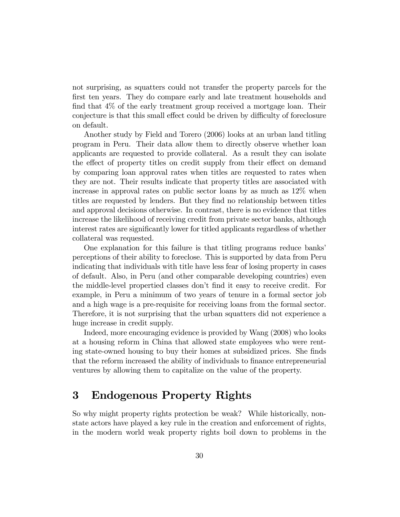not surprising, as squatters could not transfer the property parcels for the first ten years. They do compare early and late treatment households and find that 4% of the early treatment group received a mortgage loan. Their conjecture is that this small effect could be driven by difficulty of foreclosure on default.

Another study by Field and Torero (2006) looks at an urban land titling program in Peru. Their data allow them to directly observe whether loan applicants are requested to provide collateral. As a result they can isolate the effect of property titles on credit supply from their effect on demand by comparing loan approval rates when titles are requested to rates when they are not. Their results indicate that property titles are associated with increase in approval rates on public sector loans by as much as 12% when titles are requested by lenders. But they find no relationship between titles and approval decisions otherwise. In contrast, there is no evidence that titles increase the likelihood of receiving credit from private sector banks, although interest rates are significantly lower for titled applicants regardless of whether collateral was requested.

One explanation for this failure is that titling programs reduce banks' perceptions of their ability to foreclose. This is supported by data from Peru indicating that individuals with title have less fear of losing property in cases of default. Also, in Peru (and other comparable developing countries) even the middle-level propertied classes don't find it easy to receive credit. For example, in Peru a minimum of two years of tenure in a formal sector job and a high wage is a pre-requisite for receiving loans from the formal sector. Therefore, it is not surprising that the urban squatters did not experience a huge increase in credit supply.

Indeed, more encouraging evidence is provided by Wang (2008) who looks at a housing reform in China that allowed state employees who were renting state-owned housing to buy their homes at subsidized prices. She finds that the reform increased the ability of individuals to finance entrepreneurial ventures by allowing them to capitalize on the value of the property.

# 3 Endogenous Property Rights

So why might property rights protection be weak? While historically, nonstate actors have played a key rule in the creation and enforcement of rights, in the modern world weak property rights boil down to problems in the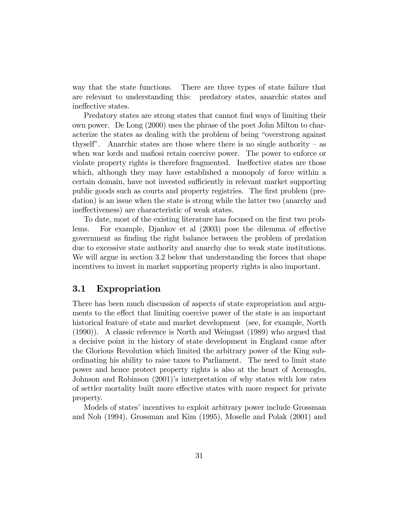way that the state functions. There are three types of state failure that are relevant to understanding this: predatory states, anarchic states and ineffective states.

Predatory states are strong states that cannot find ways of limiting their own power. De Long (2000) uses the phrase of the poet John Milton to characterize the states as dealing with the problem of being "overstrong against" thyself". Anarchic states are those where there is no single authority – as when war lords and mafiosi retain coercive power. The power to enforce or violate property rights is therefore fragmented. Ineffective states are those which, although they may have established a monopoly of force within a certain domain, have not invested sufficiently in relevant market supporting public goods such as courts and property registries. The first problem (predation) is an issue when the state is strong while the latter two (anarchy and ineffectiveness) are characteristic of weak states.

To date, most of the existing literature has focused on the first two problems. For example, Djankov et al (2003) pose the dilemma of effective government as Önding the right balance between the problem of predation due to excessive state authority and anarchy due to weak state institutions. We will argue in section 3.2 below that understanding the forces that shape incentives to invest in market supporting property rights is also important.

### 3.1 Expropriation

There has been much discussion of aspects of state expropriation and arguments to the effect that limiting coercive power of the state is an important historical feature of state and market development (see, for example, North (1990)). A classic reference is North and Weingast (1989) who argued that a decisive point in the history of state development in England came after the Glorious Revolution which limited the arbitrary power of the King subordinating his ability to raise taxes to Parliament. The need to limit state power and hence protect property rights is also at the heart of Acemoglu, Johnson and Robinson (2001)ís interpretation of why states with low rates of settler mortality built more e§ective states with more respect for private property.

Models of states' incentives to exploit arbitrary power include Grossman and Noh (1994), Grossman and Kim (1995), Moselle and Polak (2001) and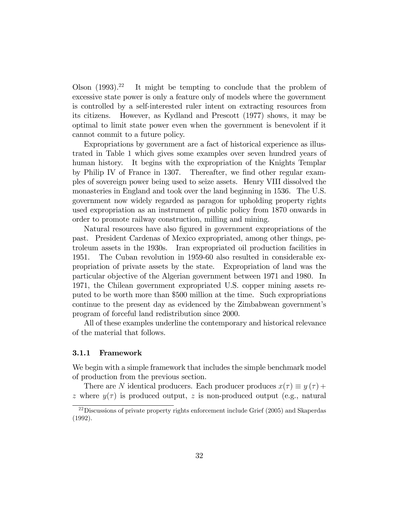Olson  $(1993).^{22}$  It might be tempting to conclude that the problem of excessive state power is only a feature only of models where the government is controlled by a self-interested ruler intent on extracting resources from its citizens. However, as Kydland and Prescott (1977) shows, it may be optimal to limit state power even when the government is benevolent if it cannot commit to a future policy.

Expropriations by government are a fact of historical experience as illustrated in Table 1 which gives some examples over seven hundred years of human history. It begins with the expropriation of the Knights Templar by Philip IV of France in 1307. Thereafter, we find other regular examples of sovereign power being used to seize assets. Henry VIII dissolved the monasteries in England and took over the land beginning in 1536. The U.S. government now widely regarded as paragon for upholding property rights used expropriation as an instrument of public policy from 1870 onwards in order to promote railway construction, milling and mining.

Natural resources have also figured in government expropriations of the past. President Cardenas of Mexico expropriated, among other things, petroleum assets in the 1930s. Iran expropriated oil production facilities in 1951. The Cuban revolution in 1959-60 also resulted in considerable expropriation of private assets by the state. Expropriation of land was the particular objective of the Algerian government between 1971 and 1980. In 1971, the Chilean government expropriated U.S. copper mining assets reputed to be worth more than \$500 million at the time. Such expropriations continue to the present day as evidenced by the Zimbabwean government's program of forceful land redistribution since 2000.

All of these examples underline the contemporary and historical relevance of the material that follows.

#### 3.1.1 Framework

We begin with a simple framework that includes the simple benchmark model of production from the previous section.

There are N identical producers. Each producer produces  $x(\tau) \equiv y(\tau) + y(\tau)$ z where  $y(\tau)$  is produced output, z is non-produced output (e.g., natural

 $^{22}$ Discussions of private property rights enforcement include Grief (2005) and Skaperdas (1992).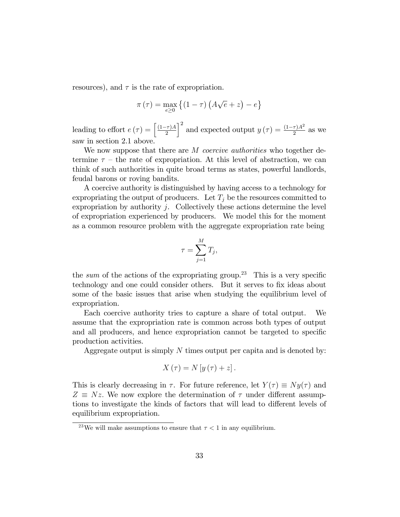resources), and  $\tau$  is the rate of expropriation.

$$
\pi(\tau) = \max_{e \ge 0} \left\{ (1 - \tau) \left( A \sqrt{e} + z \right) - e \right\}
$$

leading to effort  $e(\tau) = \left[\frac{(1-\tau)A}{2}\right]$  $\int_0^2$  and expected output  $y(\tau) = \frac{(1-\tau)A^2}{2}$  as we saw in section 2.1 above.

We now suppose that there are  $M$  coercive authorities who together determine  $\tau$  – the rate of expropriation. At this level of abstraction, we can think of such authorities in quite broad terms as states, powerful landlords, feudal barons or roving bandits.

A coercive authority is distinguished by having access to a technology for expropriating the output of producers. Let  $T_i$  be the resources committed to expropriation by authority  $j$ . Collectively these actions determine the level of expropriation experienced by producers. We model this for the moment as a common resource problem with the aggregate expropriation rate being

$$
\tau = \sum_{j=1}^{M} T_j,
$$

the sum of the actions of the expropriating group.<sup>23</sup> This is a very specific technology and one could consider others. But it serves to fix ideas about some of the basic issues that arise when studying the equilibrium level of expropriation.

Each coercive authority tries to capture a share of total output. We assume that the expropriation rate is common across both types of output and all producers, and hence expropriation cannot be targeted to specific production activities.

Aggregate output is simply N times output per capita and is denoted by:

$$
X(\tau) = N[y(\tau) + z].
$$

This is clearly decreasing in  $\tau$ . For future reference, let  $Y(\tau) \equiv Ny(\tau)$  and  $Z \equiv Nz$ . We now explore the determination of  $\tau$  under different assumptions to investigate the kinds of factors that will lead to different levels of equilibrium expropriation.

<sup>&</sup>lt;sup>23</sup>We will make assumptions to ensure that  $\tau < 1$  in any equilibrium.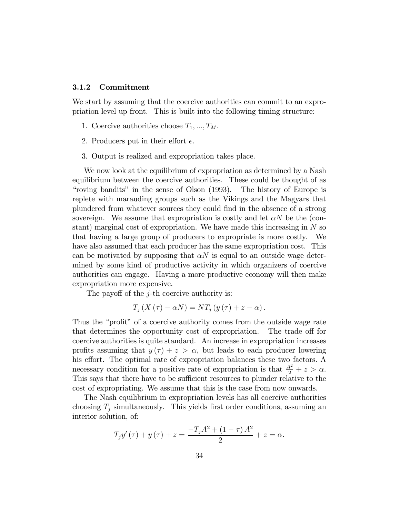#### 3.1.2 Commitment

We start by assuming that the coercive authorities can commit to an expropriation level up front. This is built into the following timing structure:

- 1. Coercive authorities choose  $T_1, ..., T_M$ .
- 2. Producers put in their effort  $e$ .
- 3. Output is realized and expropriation takes place.

We now look at the equilibrium of expropriation as determined by a Nash equilibrium between the coercive authorities. These could be thought of as "roving bandits" in the sense of Olson (1993). The history of Europe is replete with marauding groups such as the Vikings and the Magyars that plundered from whatever sources they could Önd in the absence of a strong sovereign. We assume that expropriation is costly and let  $\alpha N$  be the (constant) marginal cost of expropriation. We have made this increasing in N so that having a large group of producers to expropriate is more costly. We have also assumed that each producer has the same expropriation cost. This can be motivated by supposing that  $\alpha N$  is equal to an outside wage determined by some kind of productive activity in which organizers of coercive authorities can engage. Having a more productive economy will then make expropriation more expensive.

The payoff of the  $j$ -th coercive authority is:

$$
T_j(X(\tau)-\alpha N)=NT_j(y(\tau)+z-\alpha).
$$

Thus the "profit" of a coercive authority comes from the outside wage rate that determines the opportunity cost of expropriation. The trade off for coercive authorities is quite standard. An increase in expropriation increases profits assuming that  $y(\tau) + z > \alpha$ , but leads to each producer lowering his effort. The optimal rate of expropriation balances these two factors. A necessary condition for a positive rate of expropriation is that  $\frac{A^2}{2} + z > \alpha$ . This says that there have to be sufficient resources to plunder relative to the cost of expropriating. We assume that this is the case from now onwards.

The Nash equilibrium in expropriation levels has all coercive authorities choosing  $T_i$  simultaneously. This yields first order conditions, assuming an interior solution, of:

$$
T_j y'(\tau) + y(\tau) + z = \frac{-T_j A^2 + (1 - \tau) A^2}{2} + z = \alpha.
$$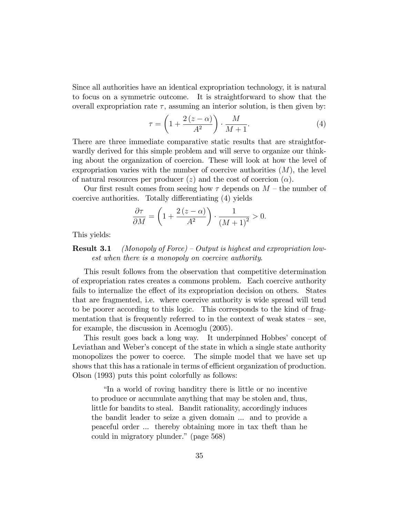Since all authorities have an identical expropriation technology, it is natural to focus on a symmetric outcome. It is straightforward to show that the overall expropriation rate  $\tau$ , assuming an interior solution, is then given by:

$$
\tau = \left(1 + \frac{2(z - \alpha)}{A^2}\right) \cdot \frac{M}{M + 1}.\tag{4}
$$

There are three immediate comparative static results that are straightforwardly derived for this simple problem and will serve to organize our thinking about the organization of coercion. These will look at how the level of expropriation varies with the number of coercive authorities  $(M)$ , the level of natural resources per producer  $(z)$  and the cost of coercion  $(\alpha)$ .

Our first result comes from seeing how  $\tau$  depends on  $M$  – the number of coercive authorities. Totally differentiating (4) yields

$$
\frac{\partial \tau}{\partial M} = \left(1 + \frac{2(z - \alpha)}{A^2}\right) \cdot \frac{1}{\left(M + 1\right)^2} > 0.
$$

This yields:

### **Result 3.1** (Monopoly of Force) – Output is highest and expropriation lowest when there is a monopoly on coercive authority.

This result follows from the observation that competitive determination of expropriation rates creates a commons problem. Each coercive authority fails to internalize the effect of its expropriation decision on others. States that are fragmented, i.e. where coercive authority is wide spread will tend to be poorer according to this logic. This corresponds to the kind of fragmentation that is frequently referred to in the context of weak states  $-$  see, for example, the discussion in Acemoglu (2005).

This result goes back a long way. It underpinned Hobbes' concept of Leviathan and Weber's concept of the state in which a single state authority monopolizes the power to coerce. The simple model that we have set up shows that this has a rationale in terms of efficient organization of production. Olson (1993) puts this point colorfully as follows:

"In a world of roving banditry there is little or no incentive to produce or accumulate anything that may be stolen and, thus, little for bandits to steal. Bandit rationality, accordingly induces the bandit leader to seize a given domain ... and to provide a peaceful order ... thereby obtaining more in tax theft than he could in migratory plunder." (page 568)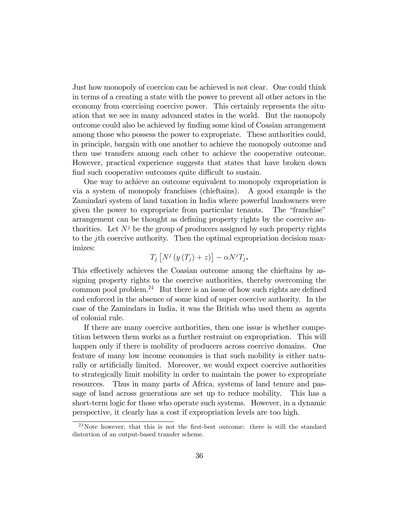Just how monopoly of coercion can be achieved is not clear. One could think in terms of a creating a state with the power to prevent all other actors in the economy from exercising coercive power. This certainly represents the situation that we see in many advanced states in the world. But the monopoly outcome could also be achieved by Önding some kind of Coasian arrangement among those who possess the power to expropriate. These authorities could, in principle, bargain with one another to achieve the monopoly outcome and then use transfers among each other to achieve the cooperative outcome. However, practical experience suggests that states that have broken down find such cooperative outcomes quite difficult to sustain.

One way to achieve an outcome equivalent to monopoly expropriation is via a system of monopoly franchises (chieftains). A good example is the Zamindari system of land taxation in India where powerful landowners were given the power to expropriate from particular tenants. The "franchise" arrangement can be thought as defining property rights by the coercive authorities. Let  $N^j$  be the group of producers assigned by such property rights to the jth coercive authority. Then the optimal expropriation decision maximizes:

$$
T_{j}\left[N^{j}\left(y\left(T_{j}\right)+z\right)\right]-\alpha N^{j}T_{j}.
$$

This effectively achieves the Coasian outcome among the chieftains by assigning property rights to the coercive authorities, thereby overcoming the common pool problem.<sup>24</sup> But there is an issue of how such rights are defined and enforced in the absence of some kind of super coercive authority. In the case of the Zamindars in India, it was the British who used them as agents of colonial rule.

If there are many coercive authorities, then one issue is whether competition between them works as a further restraint on expropriation. This will happen only if there is mobility of producers across coercive domains. One feature of many low income economies is that such mobility is either naturally or artificially limited. Moreover, we would expect coercive authorities to strategically limit mobility in order to maintain the power to expropriate resources. Thus in many parts of Africa, systems of land tenure and passage of land across generations are set up to reduce mobility. This has a short-term logic for those who operate such systems. However, in a dynamic perspective, it clearly has a cost if expropriation levels are too high.

 $24$ Note however, that this is not the first-best outcome: there is still the standard distortion of an output-based transfer scheme.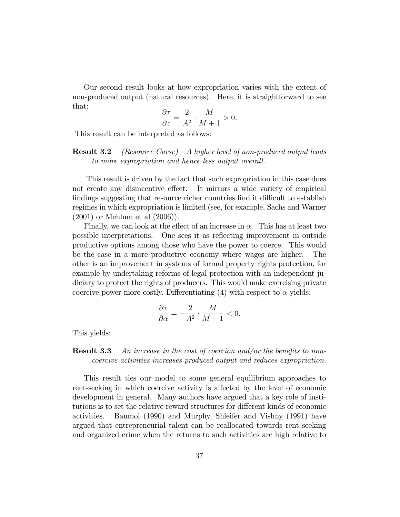Our second result looks at how expropriation varies with the extent of non-produced output (natural resources). Here, it is straightforward to see that:

$$
\frac{\partial \tau}{\partial z} = \frac{2}{A^2} \cdot \frac{M}{M+1} > 0.
$$

This result can be interpreted as follows:

**Result 3.2** (Resource Curse) – A higher level of non-produced output leads to more expropriation and hence less output overall.

This result is driven by the fact that such expropriation in this case does not create any disincentive effect. It mirrors a wide variety of empirical findings suggesting that resource richer countries find it difficult to establish regimes in which expropriation is limited (see, for example, Sachs and Warner (2001) or Mehlum et al (2006)).

Finally, we can look at the effect of an increase in  $\alpha$ . This has at least two possible interpretations. One sees it as reflecting improvement in outside productive options among those who have the power to coerce. This would be the case in a more productive economy where wages are higher. The other is an improvement in systems of formal property rights protection, for example by undertaking reforms of legal protection with an independent judiciary to protect the rights of producers. This would make exercising private coercive power more costly. Differentiating (4) with respect to  $\alpha$  yields:

$$
\frac{\partial \tau}{\partial \alpha} = -\frac{2}{A^2} \cdot \frac{M}{M+1} < 0.
$$

This yields:

**Result 3.3** An increase in the cost of coercion and/or the benefits to noncoercive activities increases produced output and reduces expropriation.

This result ties our model to some general equilibrium approaches to rent-seeking in which coercive activity is affected by the level of economic development in general. Many authors have argued that a key role of institutions is to set the relative reward structures for different kinds of economic activities. Baumol (1990) and Murphy, Shleifer and Vishny (1991) have argued that entrepreneurial talent can be reallocated towards rent seeking and organized crime when the returns to such activities are high relative to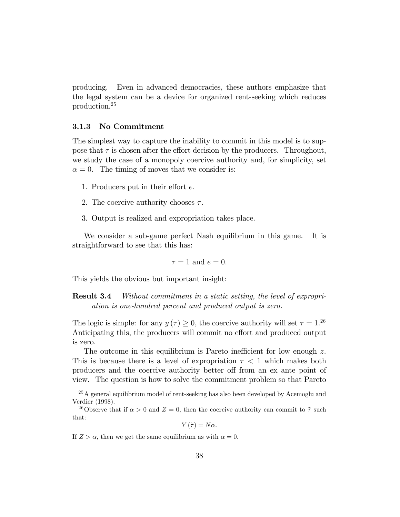producing. Even in advanced democracies, these authors emphasize that the legal system can be a device for organized rent-seeking which reduces production.<sup>25</sup>

#### 3.1.3 No Commitment

The simplest way to capture the inability to commit in this model is to suppose that  $\tau$  is chosen after the effort decision by the producers. Throughout, we study the case of a monopoly coercive authority and, for simplicity, set  $\alpha = 0$ . The timing of moves that we consider is:

- 1. Producers put in their effort  $e$ .
- 2. The coercive authority chooses  $\tau$ .
- 3. Output is realized and expropriation takes place.

We consider a sub-game perfect Nash equilibrium in this game. It is straightforward to see that this has:

$$
\tau = 1 \text{ and } e = 0.
$$

This yields the obvious but important insight:

Result 3.4 Without commitment in a static setting, the level of expropriation is one-hundred percent and produced output is zero.

The logic is simple: for any  $y(\tau) \geq 0$ , the coercive authority will set  $\tau = 1^{26}$ Anticipating this, the producers will commit no effort and produced output is zero.

The outcome in this equilibrium is Pareto inefficient for low enough  $z$ . This is because there is a level of expropriation  $\tau < 1$  which makes both producers and the coercive authority better off from an ex ante point of view. The question is how to solve the commitment problem so that Pareto

$$
Y(\tilde{\tau})=N\alpha.
$$

If  $Z > \alpha$ , then we get the same equilibrium as with  $\alpha = 0$ .

<sup>25</sup>A general equilibrium model of rent-seeking has also been developed by Acemoglu and Verdier (1998).

<sup>&</sup>lt;sup>26</sup>Observe that if  $\alpha > 0$  and  $Z = 0$ , then the coercive authority can commit to  $\tilde{\tau}$  such that: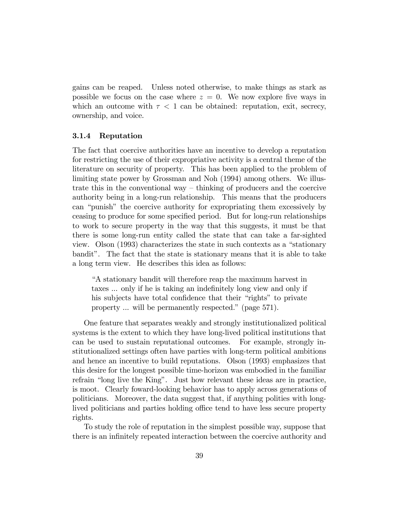gains can be reaped. Unless noted otherwise, to make things as stark as possible we focus on the case where  $z = 0$ . We now explore five ways in which an outcome with  $\tau < 1$  can be obtained: reputation, exit, secrecy, ownership, and voice.

### 3.1.4 Reputation

The fact that coercive authorities have an incentive to develop a reputation for restricting the use of their expropriative activity is a central theme of the literature on security of property. This has been applied to the problem of limiting state power by Grossman and Noh (1994) among others. We illustrate this in the conventional way  $-$  thinking of producers and the coercive authority being in a long-run relationship. This means that the producers can "punish" the coercive authority for expropriating them excessively by ceasing to produce for some specified period. But for long-run relationships to work to secure property in the way that this suggests, it must be that there is some long-run entity called the state that can take a far-sighted view. Olson  $(1993)$  characterizes the state in such contexts as a "stationary" banditî. The fact that the state is stationary means that it is able to take a long term view. He describes this idea as follows:

ìA stationary bandit will therefore reap the maximum harvest in taxes ... only if he is taking an indefinitely long view and only if his subjects have total confidence that their "rights" to private property ... will be permanently respected." (page 571).

One feature that separates weakly and strongly institutionalized political systems is the extent to which they have long-lived political institutions that can be used to sustain reputational outcomes. For example, strongly institutionalized settings often have parties with long-term political ambitions and hence an incentive to build reputations. Olson (1993) emphasizes that this desire for the longest possible time-horizon was embodied in the familiar refrain "long live the King". Just how relevant these ideas are in practice, is moot. Clearly foward-looking behavior has to apply across generations of politicians. Moreover, the data suggest that, if anything polities with longlived politicians and parties holding office tend to have less secure property rights.

To study the role of reputation in the simplest possible way, suppose that there is an infinitely repeated interaction between the coercive authority and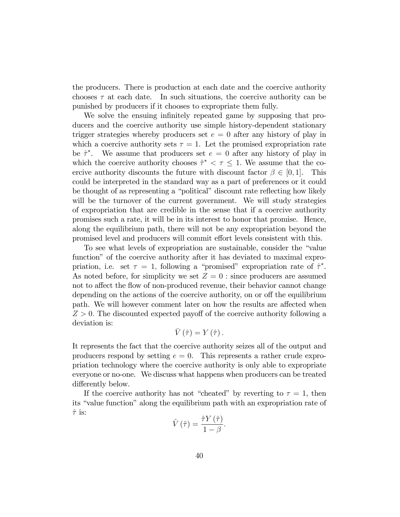the producers. There is production at each date and the coercive authority chooses  $\tau$  at each date. In such situations, the coercive authority can be punished by producers if it chooses to expropriate them fully.

We solve the ensuing infinitely repeated game by supposing that producers and the coercive authority use simple history-dependent stationary trigger strategies whereby producers set  $e = 0$  after any history of play in which a coercive authority sets  $\tau = 1$ . Let the promised expropriation rate be  $\hat{\tau}^*$ . We assume that producers set  $e = 0$  after any history of play in which the coercive authority chooses  $\hat{\tau}^* < \tau \leq 1$ . We assume that the coercive authority discounts the future with discount factor  $\beta \in [0, 1]$ . This could be interpreted in the standard way as a part of preferences or it could be thought of as representing a "political" discount rate reflecting how likely will be the turnover of the current government. We will study strategies of expropriation that are credible in the sense that if a coercive authority promises such a rate, it will be in its interest to honor that promise. Hence, along the equilibrium path, there will not be any expropriation beyond the promised level and producers will commit effort levels consistent with this.

To see what levels of expropriation are sustainable, consider the "value" function" of the coercive authority after it has deviated to maximal expropriation, i.e. set  $\tau = 1$ , following a "promised" expropriation rate of  $\hat{\tau}^*$ . As noted before, for simplicity we set  $Z = 0$ : since producers are assumed not to affect the flow of non-produced revenue, their behavior cannot change depending on the actions of the coercive authority, on or off the equilibrium path. We will however comment later on how the results are affected when  $Z > 0$ . The discounted expected payoff of the coercive authority following a deviation is:

$$
\bar{V}(\hat{\tau})=Y(\hat{\tau}).
$$

It represents the fact that the coercive authority seizes all of the output and producers respond by setting  $e = 0$ . This represents a rather crude expropriation technology where the coercive authority is only able to expropriate everyone or no-one. We discuss what happens when producers can be treated differently below.

If the coercive authority has not "cheated" by reverting to  $\tau = 1$ , then its "value function" along the equilibrium path with an expropriation rate of  $\hat{\tau}$  is:

$$
\hat{V}(\hat{\tau}) = \frac{\hat{\tau} Y(\hat{\tau})}{1 - \beta}.
$$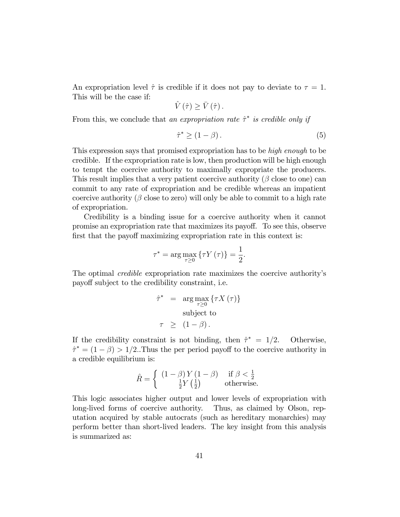An expropriation level  $\hat{\tau}$  is credible if it does not pay to deviate to  $\tau = 1$ . This will be the case if:

$$
\hat{V}(\hat{\tau}) \geq \bar{V}(\hat{\tau}).
$$

From this, we conclude that an expropriation rate  $\hat{\tau}^*$  is credible only if

$$
\hat{\tau}^* \ge (1 - \beta). \tag{5}
$$

This expression says that promised expropriation has to be high enough to be credible. If the expropriation rate is low, then production will be high enough to tempt the coercive authority to maximally expropriate the producers. This result implies that a very patient coercive authority  $(\beta \text{ close to one})$  can commit to any rate of expropriation and be credible whereas an impatient coercive authority ( $\beta$  close to zero) will only be able to commit to a high rate of expropriation.

Credibility is a binding issue for a coercive authority when it cannot promise an expropriation rate that maximizes its payoff. To see this, observe first that the payoff maximizing expropriation rate in this context is:

$$
\tau^* = \arg \max_{\tau \geq 0} \left\{ \tau Y(\tau) \right\} = \frac{1}{2}.
$$

The optimal *credible* expropriation rate maximizes the coercive authority's payoff subject to the credibility constraint, i.e.

$$
\hat{\tau}^* = \arg \max_{\tau \ge 0} \{ \tau X(\tau) \}
$$
  
subject to  

$$
\tau \ge (1 - \beta).
$$

If the credibility constraint is not binding, then  $\hat{\tau}^* = 1/2$ . Otherwise,  $\hat{\tau}^* = (1 - \beta) > 1/2.$  Thus the per period payoff to the coercive authority in a credible equilibrium is:

$$
\hat{R} = \begin{cases} (1 - \beta) Y (1 - \beta) & \text{if } \beta < \frac{1}{2} \\ \frac{1}{2} Y (\frac{1}{2}) & \text{otherwise.} \end{cases}
$$

This logic associates higher output and lower levels of expropriation with long-lived forms of coercive authority. Thus, as claimed by Olson, reputation acquired by stable autocrats (such as hereditary monarchies) may perform better than short-lived leaders. The key insight from this analysis is summarized as: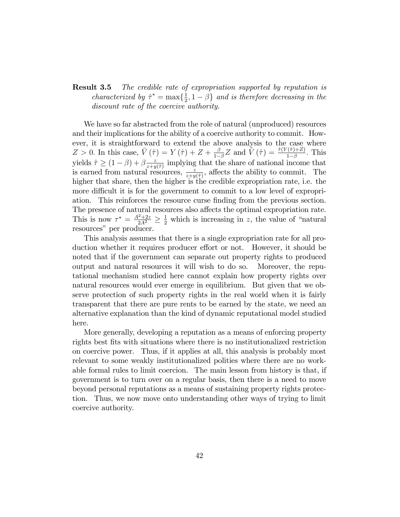#### **Result 3.5** The credible rate of expropriation supported by reputation is *characterized by*  $\hat{\tau}^* = \max\{\frac{1}{2}\}$  $\frac{1}{2}$ ,  $1 - \beta$  and is therefore decreasing in the discount rate of the coercive authority.

We have so far abstracted from the role of natural (unproduced) resources and their implications for the ability of a coercive authority to commit. However, it is straightforward to extend the above analysis to the case where  $Z > 0$ . In this case,  $\overline{V}(\hat{\tau}) = Y(\hat{\tau}) + Z + \frac{\beta}{1 - \epsilon}$  $\frac{\beta}{1-\beta}Z$  and  $\hat{V}(\hat{\tau}) = \frac{\hat{\tau}(Y(\hat{\tau})+Z)}{1-\beta}$ . This yields  $\hat{\tau} \geq (1 - \beta) + \beta \frac{z}{z+y}$  $\frac{z}{z+y(\hat{\tau})}$  implying that the share of national income that is earned from natural resources,  $\frac{z}{z+y(\hat{\tau})}$ , affects the ability to commit. The higher that share, then the higher is the credible expropriation rate, i.e. the more difficult it is for the government to commit to a low level of expropriation. This reinforces the resource curse Önding from the previous section. The presence of natural resources also affects the optimal expropriation rate. This is now  $\tau^* = \frac{A^2 + 2z}{2A^2} \ge \frac{1}{2}$  which is increasing in z, the value of "natural" resources" per producer.

This analysis assumes that there is a single expropriation rate for all production whether it requires producer effort or not. However, it should be noted that if the government can separate out property rights to produced output and natural resources it will wish to do so. Moreover, the reputational mechanism studied here cannot explain how property rights over natural resources would ever emerge in equilibrium. But given that we observe protection of such property rights in the real world when it is fairly transparent that there are pure rents to be earned by the state, we need an alternative explanation than the kind of dynamic reputational model studied here.

More generally, developing a reputation as a means of enforcing property rights best fits with situations where there is no institutionalized restriction on coercive power. Thus, if it applies at all, this analysis is probably most relevant to some weakly institutionalized polities where there are no workable formal rules to limit coercion. The main lesson from history is that, if government is to turn over on a regular basis, then there is a need to move beyond personal reputations as a means of sustaining property rights protection. Thus, we now move onto understanding other ways of trying to limit coercive authority.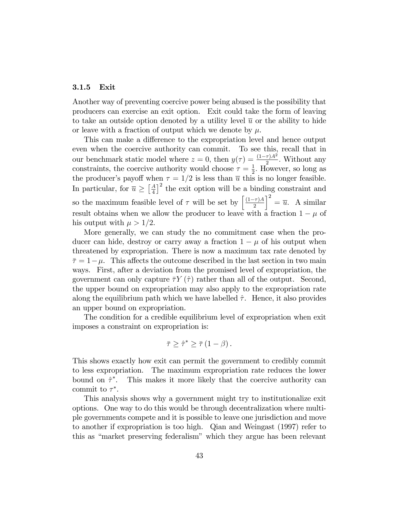## 3.1.5 Exit

Another way of preventing coercive power being abused is the possibility that producers can exercise an exit option. Exit could take the form of leaving to take an outside option denoted by a utility level  $\bar{u}$  or the ability to hide or leave with a fraction of output which we denote by  $\mu$ .

This can make a difference to the expropriation level and hence output even when the coercive authority can commit. To see this, recall that in our benchmark static model where  $z = 0$ , then  $y(\tau) = \frac{(1-\tau)A^2}{2}$ . Without any constraints, the coercive authority would choose  $\tau = \frac{1}{2}$  $\frac{1}{2}$ . However, so long as the producer's payoff when  $\tau = 1/2$  is less than  $\bar{u}$  this is no longer feasible. In particular, for  $\overline{u} \geq \left[\frac{A}{4}\right]$  $\left(\frac{4}{4}\right)^2$  the exit option will be a binding constraint and so the maximum feasible level of  $\tau$  will be set by  $\left[\frac{(1-\tau)A}{2}\right]$  $\Big|^2 = \overline{u}$ . A similar result obtains when we allow the producer to leave with a fraction  $1 - \mu$  of his output with  $\mu > 1/2$ .

More generally, we can study the no commitment case when the producer can hide, destroy or carry away a fraction  $1 - \mu$  of his output when threatened by expropriation. There is now a maximum tax rate denoted by  $\bar{\tau} = 1 - \mu$ . This affects the outcome described in the last section in two main ways. First, after a deviation from the promised level of expropriation, the government can only capture  $\bar{\tau} Y(\hat{\tau})$  rather than all of the output. Second, the upper bound on expropriation may also apply to the expropriation rate along the equilibrium path which we have labelled  $\hat{\tau}$ . Hence, it also provides an upper bound on expropriation.

The condition for a credible equilibrium level of expropriation when exit imposes a constraint on expropriation is:

$$
\bar{\tau} \geq \hat{\tau}^* \geq \bar{\tau} (1 - \beta).
$$

This shows exactly how exit can permit the government to credibly commit to less expropriation. The maximum expropriation rate reduces the lower bound on  $\hat{\tau}^*$ . This makes it more likely that the coercive authority can commit to  $\tau^*$ .

This analysis shows why a government might try to institutionalize exit options. One way to do this would be through decentralization where multiple governments compete and it is possible to leave one jurisdiction and move to another if expropriation is too high. Qian and Weingast (1997) refer to this as "market preserving federalism" which they argue has been relevant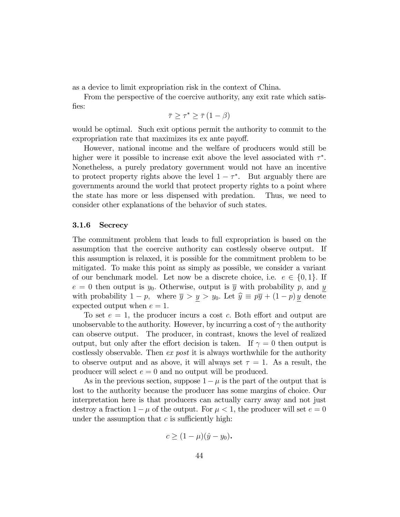as a device to limit expropriation risk in the context of China.

From the perspective of the coercive authority, any exit rate which satisfies:

$$
\bar{\tau} \geq \tau^* \geq \bar{\tau} (1 - \beta)
$$

would be optimal. Such exit options permit the authority to commit to the expropriation rate that maximizes its ex ante payoff.

However, national income and the welfare of producers would still be higher were it possible to increase exit above the level associated with  $\tau^*$ . Nonetheless, a purely predatory government would not have an incentive to protect property rights above the level  $1 - \tau^*$ . But arguably there are governments around the world that protect property rights to a point where the state has more or less dispensed with predation. Thus, we need to consider other explanations of the behavior of such states.

#### 3.1.6 Secrecy

The commitment problem that leads to full expropriation is based on the assumption that the coercive authority can costlessly observe output. If this assumption is relaxed, it is possible for the commitment problem to be mitigated. To make this point as simply as possible, we consider a variant of our benchmark model. Let now be a discrete choice, i.e.  $e \in \{0, 1\}$ . If  $e = 0$  then output is  $y_0$ . Otherwise, output is  $\overline{y}$  with probability p, and y with probability  $1 - p$ , where  $\overline{y} > y_0$ . Let  $\widehat{y} \equiv p\overline{y} + (1 - p) y$  denote expected output when  $e = 1$ .

To set  $e = 1$ , the producer incurs a cost c. Both effort and output are unobservable to the authority. However, by incurring a cost of  $\gamma$  the authority can observe output. The producer, in contrast, knows the level of realized output, but only after the effort decision is taken. If  $\gamma = 0$  then output is costlessly observable. Then ex post it is always worthwhile for the authority to observe output and as above, it will always set  $\tau = 1$ . As a result, the producer will select  $e = 0$  and no output will be produced.

As in the previous section, suppose  $1 - \mu$  is the part of the output that is lost to the authority because the producer has some margins of choice: Our interpretation here is that producers can actually carry away and not just destroy a fraction  $1 - \mu$  of the output. For  $\mu < 1$ , the producer will set  $e = 0$ under the assumption that  $c$  is sufficiently high:

$$
c\geq (1-\mu)(\hat{y}-y_0).
$$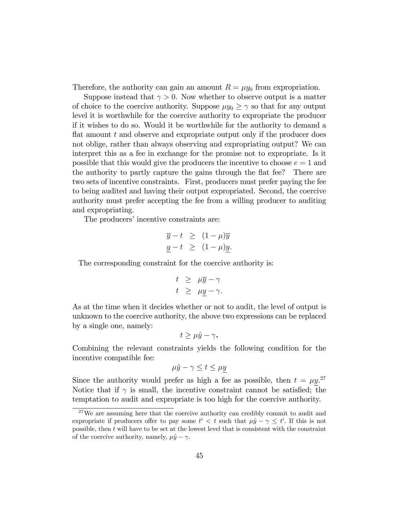Therefore, the authority can gain an amount  $R = \mu y_0$  from expropriation.

Suppose instead that  $\gamma > 0$ . Now whether to observe output is a matter of choice to the coercive authority. Suppose  $\mu y_0 \ge \gamma$  so that for any output level it is worthwhile for the coercive authority to expropriate the producer if it wishes to do so. Would it be worthwhile for the authority to demand a flat amount  $t$  and observe and expropriate output only if the producer does not oblige, rather than always observing and expropriating output? We can interpret this as a fee in exchange for the promise not to expropriate. Is it possible that this would give the producers the incentive to choose  $e = 1$  and the authority to partly capture the gains through the flat fee? There are two sets of incentive constraints. First, producers must prefer paying the fee to being audited and having their output expropriated. Second, the coercive authority must prefer accepting the fee from a willing producer to auditing and expropriating.

The producers' incentive constraints are:

$$
\overline{y} - t \ge (1 - \mu)\overline{y}
$$
  

$$
\underline{y} - t \ge (1 - \mu)\underline{y}.
$$

The corresponding constraint for the coercive authority is:

$$
t \geq \mu \overline{y} - \gamma
$$
  

$$
t \geq \mu \underline{y} - \gamma.
$$

As at the time when it decides whether or not to audit, the level of output is unknown to the coercive authority, the above two expressions can be replaced by a single one, namely:

$$
t \geq \mu \hat{y} - \gamma.
$$

Combining the relevant constraints yields the following condition for the incentive compatible fee:

$$
\mu \hat{y} - \gamma \le t \le \mu \underline{y}
$$

Since the authority would prefer as high a fee as possible, then  $t = \mu y$ <sup>27</sup> Notice that if  $\gamma$  is small, the incentive constraint cannot be satisfied; the temptation to audit and expropriate is too high for the coercive authority.

 $27$ We are assuming here that the coercive authority can credibly commit to audit and expropriate if producers offer to pay some  $t' < t$  such that  $\mu \hat{y} - \gamma \leq t'$ . If this is not possible, then t will have to be set at the lowest level that is consistent with the constraint of the coercive authority, namely,  $\mu \hat{y} - \gamma$ .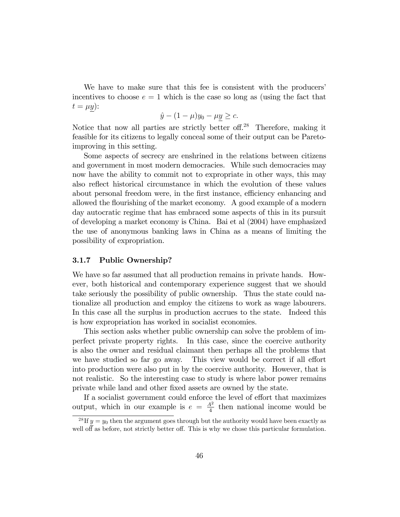We have to make sure that this fee is consistent with the producers' incentives to choose  $e = 1$  which is the case so long as (using the fact that  $t = \mu y$ :

$$
\hat{y} - (1 - \mu)y_0 - \mu \underline{y} \ge c.
$$

Notice that now all parties are strictly better of  $28$  Therefore, making it feasible for its citizens to legally conceal some of their output can be Paretoimproving in this setting.

Some aspects of secrecy are enshrined in the relations between citizens and government in most modern democracies. While such democracies may now have the ability to commit not to expropriate in other ways, this may also reflect historical circumstance in which the evolution of these values about personal freedom were, in the first instance, efficiency enhancing and allowed the flourishing of the market economy. A good example of a modern day autocratic regime that has embraced some aspects of this in its pursuit of developing a market economy is China. Bai et al (2004) have emphasized the use of anonymous banking laws in China as a means of limiting the possibility of expropriation.

#### 3.1.7 Public Ownership?

We have so far assumed that all production remains in private hands. However, both historical and contemporary experience suggest that we should take seriously the possibility of public ownership. Thus the state could nationalize all production and employ the citizens to work as wage labourers. In this case all the surplus in production accrues to the state. Indeed this is how expropriation has worked in socialist economies.

This section asks whether public ownership can solve the problem of imperfect private property rights. In this case, since the coercive authority is also the owner and residual claimant then perhaps all the problems that we have studied so far go away. This view would be correct if all effort into production were also put in by the coercive authority. However, that is not realistic. So the interesting case to study is where labor power remains private while land and other Öxed assets are owned by the state.

If a socialist government could enforce the level of effort that maximizes output, which in our example is  $e = \frac{A^2}{4}$  $\frac{4^2}{4}$  then national income would be

<sup>&</sup>lt;sup>28</sup>If  $y = y_0$  then the argument goes through but the authority would have been exactly as well of as before, not strictly better off. This is why we chose this particular formulation.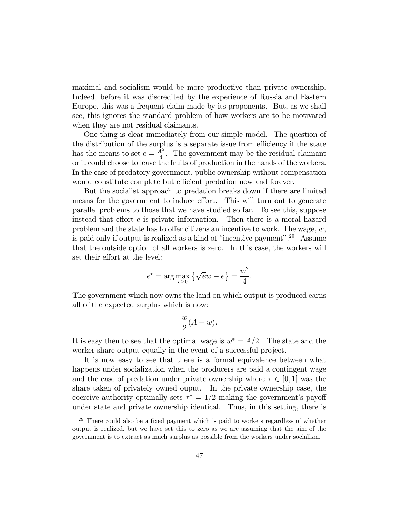maximal and socialism would be more productive than private ownership. Indeed, before it was discredited by the experience of Russia and Eastern Europe, this was a frequent claim made by its proponents. But, as we shall see, this ignores the standard problem of how workers are to be motivated when they are not residual claimants.

One thing is clear immediately from our simple model. The question of the distribution of the surplus is a separate issue from efficiency if the state has the means to set  $e = \frac{A^2}{4}$  $\frac{4^2}{4}$ . The government may be the residual claimant or it could choose to leave the fruits of production in the hands of the workers. In the case of predatory government, public ownership without compensation would constitute complete but efficient predation now and forever.

But the socialist approach to predation breaks down if there are limited means for the government to induce effort. This will turn out to generate parallel problems to those that we have studied so far. To see this, suppose instead that effort  $e$  is private information. Then there is a moral hazard problem and the state has to offer citizens an incentive to work. The wage,  $w$ , is paid only if output is realized as a kind of "incentive payment".<sup>29</sup> Assume that the outside option of all workers is zero. In this case, the workers will set their effort at the level:

$$
e^* = \arg \max_{e \ge 0} \left\{ \sqrt{e}w - e \right\} = \frac{w^2}{4}.
$$

The government which now owns the land on which output is produced earns all of the expected surplus which is now:

$$
\frac{w}{2}(A-w).
$$

It is easy then to see that the optimal wage is  $w^* = A/2$ . The state and the worker share output equally in the event of a successful project.

It is now easy to see that there is a formal equivalence between what happens under socialization when the producers are paid a contingent wage and the case of predation under private ownership where  $\tau \in [0, 1]$  was the share taken of privately owned ouput. In the private ownership case, the coercive authority optimally sets  $\tau^* = 1/2$  making the government's payoff under state and private ownership identical. Thus, in this setting, there is

 $29$  There could also be a fixed payment which is paid to workers regardless of whether output is realized, but we have set this to zero as we are assuming that the aim of the government is to extract as much surplus as possible from the workers under socialism.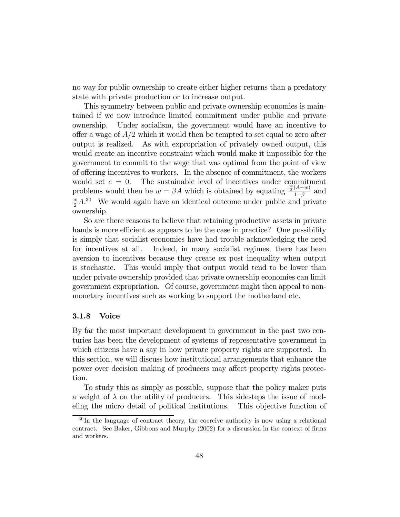no way for public ownership to create either higher returns than a predatory state with private production or to increase output.

This symmetry between public and private ownership economies is maintained if we now introduce limited commitment under public and private ownership. Under socialism, the government would have an incentive to offer a wage of  $A/2$  which it would then be tempted to set equal to zero after output is realized. As with expropriation of privately owned output, this would create an incentive constraint which would make it impossible for the government to commit to the wage that was optimal from the point of view of offering incentives to workers. In the absence of commitment, the workers would set  $e = 0$ . The sustainable level of incentives under commitment problems would then be  $w = \beta A$  which is obtained by equating  $\frac{\frac{w}{2}(A-w)}{1-A}$  $\frac{(A-w)}{1-\beta}$  and  $\frac{w}{2}A^{30}$  We would again have an identical outcome under public and private ownership.

So are there reasons to believe that retaining productive assets in private hands is more efficient as appears to be the case in practice? One possibility is simply that socialist economies have had trouble acknowledging the need for incentives at all. Indeed, in many socialist regimes, there has been aversion to incentives because they create ex post inequality when output is stochastic. This would imply that output would tend to be lower than under private ownership provided that private ownership economies can limit government expropriation. Of course, government might then appeal to nonmonetary incentives such as working to support the motherland etc.

### 3.1.8 Voice

By far the most important development in government in the past two centuries has been the development of systems of representative government in which citizens have a say in how private property rights are supported. In this section, we will discuss how institutional arrangements that enhance the power over decision making of producers may affect property rights protection.

To study this as simply as possible, suppose that the policy maker puts a weight of  $\lambda$  on the utility of producers. This sidesteps the issue of modeling the micro detail of political institutions. This objective function of

 $30$ In the language of contract theory, the coercive authority is now using a relational contract. See Baker, Gibbons and Murphy  $(2002)$  for a discussion in the context of firms and workers.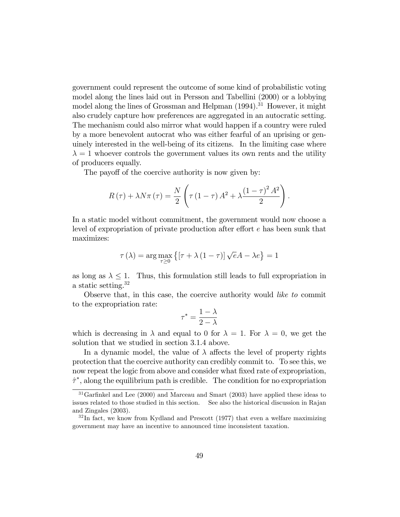government could represent the outcome of some kind of probabilistic voting model along the lines laid out in Persson and Tabellini (2000) or a lobbying model along the lines of Grossman and Helpman  $(1994).$ <sup>31</sup> However, it might also crudely capture how preferences are aggregated in an autocratic setting. The mechanism could also mirror what would happen if a country were ruled by a more benevolent autocrat who was either fearful of an uprising or genuinely interested in the well-being of its citizens. In the limiting case where  $\lambda = 1$  whoever controls the government values its own rents and the utility of producers equally.

The payoff of the coercive authority is now given by:

$$
R(\tau) + \lambda N \pi(\tau) = \frac{N}{2} \left( \tau (1 - \tau) A^2 + \lambda \frac{(1 - \tau)^2 A^2}{2} \right).
$$

In a static model without commitment, the government would now choose a level of expropriation of private production after effort  $e$  has been sunk that maximizes:

$$
\tau(\lambda) = \arg \max_{\tau \ge 0} \left\{ \left[ \tau + \lambda (1 - \tau) \right] \sqrt{e} A - \lambda e \right\} = 1
$$

as long as  $\lambda \leq 1$ . Thus, this formulation still leads to full expropriation in a static setting.<sup>32</sup>

Observe that, in this case, the coercive authority would like to commit to the expropriation rate:

$$
\tau^* = \frac{1 - \lambda}{2 - \lambda}
$$

which is decreasing in  $\lambda$  and equal to 0 for  $\lambda = 1$ . For  $\lambda = 0$ , we get the solution that we studied in section 3.1.4 above.

In a dynamic model, the value of  $\lambda$  affects the level of property rights protection that the coercive authority can credibly commit to. To see this, we now repeat the logic from above and consider what fixed rate of expropriation,  $\hat{\tau}^*$ , along the equilibrium path is credible. The condition for no expropriation

 $31$ Garfinkel and Lee (2000) and Marceau and Smart (2003) have applied these ideas to issues related to those studied in this section. See also the historical discussion in Rajan and Zingales (2003).

 $32$ In fact, we know from Kydland and Prescott (1977) that even a welfare maximizing government may have an incentive to announced time inconsistent taxation.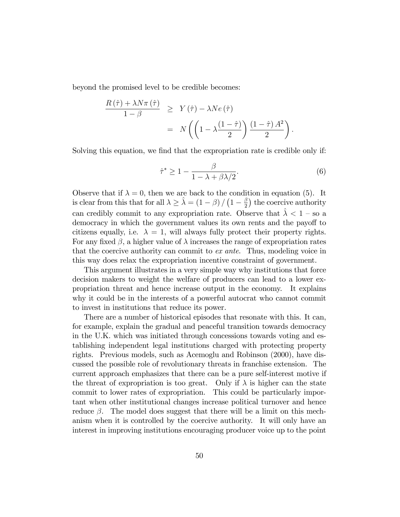beyond the promised level to be credible becomes:

$$
\frac{R(\hat{\tau}) + \lambda N \pi(\hat{\tau})}{1 - \beta} \geq Y(\hat{\tau}) - \lambda N e(\hat{\tau})
$$
  
=  $N \left( \left( 1 - \lambda \frac{(1 - \hat{\tau})}{2} \right) \frac{(1 - \hat{\tau}) A^2}{2} \right).$ 

Solving this equation, we find that the expropriation rate is credible only if:

$$
\hat{\tau}^* \ge 1 - \frac{\beta}{1 - \lambda + \beta \lambda / 2}.
$$
\n(6)

Observe that if  $\lambda = 0$ , then we are back to the condition in equation (5). It is clear from this that for all  $\lambda \geq \hat{\lambda} = (1 - \beta) / (1 - \frac{\beta}{2})$  $\frac{\beta}{2}$  the coercive authority can credibly commit to any expropriation rate. Observe that  $\lambda < 1$  – so a democracy in which the government values its own rents and the payoff to citizens equally, i.e.  $\lambda = 1$ , will always fully protect their property rights. For any fixed  $\beta$ , a higher value of  $\lambda$  increases the range of expropriation rates that the coercive authority can commit to ex ante. Thus, modeling voice in this way does relax the expropriation incentive constraint of government.

This argument illustrates in a very simple way why institutions that force decision makers to weight the welfare of producers can lead to a lower expropriation threat and hence increase output in the economy. It explains why it could be in the interests of a powerful autocrat who cannot commit to invest in institutions that reduce its power.

There are a number of historical episodes that resonate with this. It can, for example, explain the gradual and peaceful transition towards democracy in the U.K. which was initiated through concessions towards voting and establishing independent legal institutions charged with protecting property rights. Previous models, such as Acemoglu and Robinson (2000), have discussed the possible role of revolutionary threats in franchise extension. The current approach emphasizes that there can be a pure self-interest motive if the threat of expropriation is too great. Only if  $\lambda$  is higher can the state commit to lower rates of expropriation. This could be particularly important when other institutional changes increase political turnover and hence reduce  $\beta$ . The model does suggest that there will be a limit on this mechanism when it is controlled by the coercive authority. It will only have an interest in improving institutions encouraging producer voice up to the point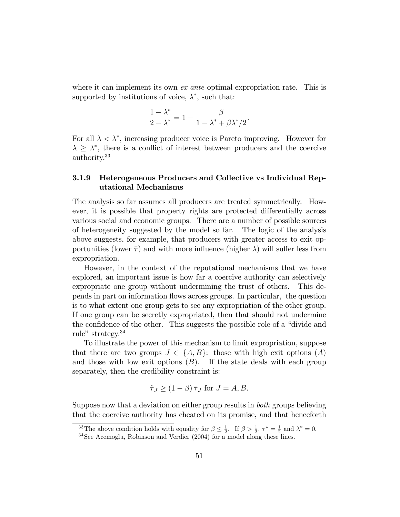where it can implement its own *ex ante* optimal expropriation rate. This is supported by institutions of voice,  $\lambda^*$ , such that:

$$
\frac{1-\lambda^*}{2-\lambda^*} = 1 - \frac{\beta}{1-\lambda^* + \beta \lambda^*/2}.
$$

For all  $\lambda < \lambda^*$ , increasing producer voice is Pareto improving. However for  $\lambda \geq \lambda^*$ , there is a conflict of interest between producers and the coercive authority.<sup>33</sup>

## 3.1.9 Heterogeneous Producers and Collective vs Individual Reputational Mechanisms

The analysis so far assumes all producers are treated symmetrically. However, it is possible that property rights are protected differentially across various social and economic groups. There are a number of possible sources of heterogeneity suggested by the model so far. The logic of the analysis above suggests, for example, that producers with greater access to exit opportunities (lower  $\bar{\tau}$ ) and with more influence (higher  $\lambda$ ) will suffer less from expropriation.

However, in the context of the reputational mechanisms that we have explored, an important issue is how far a coercive authority can selectively expropriate one group without undermining the trust of others. This depends in part on information áows across groups. In particular, the question is to what extent one group gets to see any expropriation of the other group. If one group can be secretly expropriated, then that should not undermine the confidence of the other. This suggests the possible role of a "divide and" rule" strategy. $34$ 

To illustrate the power of this mechanism to limit expropriation, suppose that there are two groups  $J \in \{A, B\}$ : those with high exit options  $(A)$ and those with low exit options  $(B)$ . If the state deals with each group separately, then the credibility constraint is:

$$
\hat{\tau}_J \ge (1 - \beta) \overline{\tau}_J
$$
 for  $J = A, B$ .

Suppose now that a deviation on either group results in both groups believing that the coercive authority has cheated on its promise, and that henceforth

<sup>&</sup>lt;sup>33</sup>The above condition holds with equality for  $\beta \leq \frac{1}{2}$ . If  $\beta > \frac{1}{2}$ ,  $\tau^* = \frac{1}{2}$  and  $\lambda^* = 0$ .

<sup>34</sup>See Acemoglu, Robinson and Verdier (2004) for a model along these lines.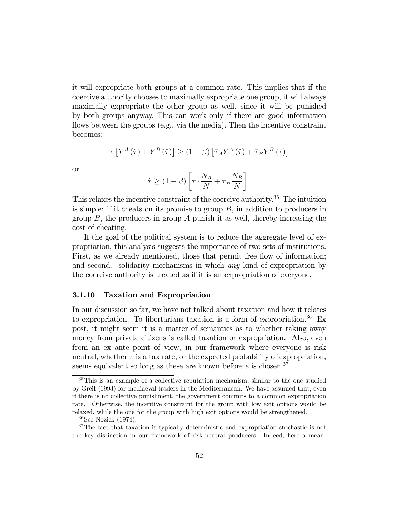it will expropriate both groups at a common rate. This implies that if the coercive authority chooses to maximally expropriate one group, it will always maximally expropriate the other group as well, since it will be punished by both groups anyway. This can work only if there are good information flows between the groups (e.g., via the media). Then the incentive constraint becomes:

$$
\hat{\tau}\left[Y^{A}\left(\hat{\tau}\right) + Y^{B}\left(\hat{\tau}\right)\right] \geq \left(1 - \beta\right)\left[\bar{\tau}_{A}Y^{A}\left(\hat{\tau}\right) + \bar{\tau}_{B}Y^{B}\left(\hat{\tau}\right)\right]
$$

or

$$
\hat{\tau} \ge (1-\beta) \left[ \bar{\tau}_A \frac{N_A}{N} + \bar{\tau}_B \frac{N_B}{N} \right].
$$

This relaxes the incentive constraint of the coercive authority.<sup>35</sup> The intuition is simple: if it cheats on its promise to group  $B$ , in addition to producers in group  $B$ , the producers in group  $A$  punish it as well, thereby increasing the cost of cheating.

If the goal of the political system is to reduce the aggregate level of expropriation, this analysis suggests the importance of two sets of institutions. First, as we already mentioned, those that permit free flow of information; and second, solidarity mechanisms in which any kind of expropriation by the coercive authority is treated as if it is an expropriation of everyone.

#### 3.1.10 Taxation and Expropriation

In our discussion so far, we have not talked about taxation and how it relates to expropriation. To libertarians taxation is a form of expropriation.<sup>36</sup> Ex post, it might seem it is a matter of semantics as to whether taking away money from private citizens is called taxation or expropriation. Also, even from an ex ante point of view, in our framework where everyone is risk neutral, whether  $\tau$  is a tax rate, or the expected probability of expropriation, seems equivalent so long as these are known before  $e$  is chosen.<sup>37</sup>

<sup>&</sup>lt;sup>35</sup>This is an example of a collective reputation mechanism, similar to the one studied by Greif (1993) for mediaeval traders in the Mediterranean. We have assumed that, even if there is no collective punishment, the government commits to a common expropriation rate. Otherwise, the incentive constraint for the group with low exit options would be relaxed, while the one for the group with high exit options would be strengthened.

 $36$ See Nozick (1974).

 $37$ The fact that taxation is typically deterministic and expropriation stochastic is not the key distinction in our framework of risk-neutral producers. Indeed, here a mean-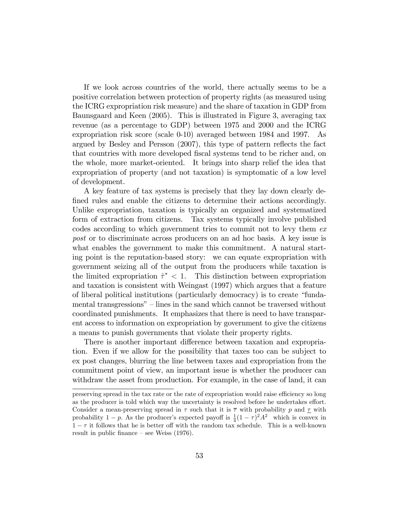If we look across countries of the world, there actually seems to be a positive correlation between protection of property rights (as measured using the ICRG expropriation risk measure) and the share of taxation in GDP from Baunsgaard and Keen (2005). This is illustrated in Figure 3, averaging tax revenue (as a percentage to GDP) between 1975 and 2000 and the ICRG expropriation risk score (scale 0-10) averaged between 1984 and 1997. As argued by Besley and Persson  $(2007)$ , this type of pattern reflects the fact that countries with more developed fiscal systems tend to be richer and, on the whole, more market-oriented. It brings into sharp relief the idea that expropriation of property (and not taxation) is symptomatic of a low level of development.

A key feature of tax systems is precisely that they lay down clearly defined rules and enable the citizens to determine their actions accordingly. Unlike expropriation, taxation is typically an organized and systematized form of extraction from citizens. Tax systems typically involve published codes according to which government tries to commit not to levy them ex post or to discriminate across producers on an ad hoc basis. A key issue is what enables the government to make this commitment. A natural starting point is the reputation-based story: we can equate expropriation with government seizing all of the output from the producers while taxation is the limited expropriation  $\hat{\tau}^*$  < 1. This distinction between expropriation and taxation is consistent with Weingast (1997) which argues that a feature of liberal political institutions (particularly democracy) is to create "fundamental transgressions"  $\overline{\phantom{a}}$  – lines in the sand which cannot be traversed without coordinated punishments. It emphasizes that there is need to have transparent access to information on expropriation by government to give the citizens a means to punish governments that violate their property rights.

There is another important difference between taxation and expropriation. Even if we allow for the possibility that taxes too can be subject to ex post changes, blurring the line between taxes and expropriation from the commitment point of view, an important issue is whether the producer can withdraw the asset from production. For example, in the case of land, it can

preserving spread in the tax rate or the rate of expropriation would raise efficiency so long as the producer is told which way the uncertainty is resolved before he undertakes effort. Consider a mean-preserving spread in  $\tau$  such that it is  $\bar{\tau}$  with probability p and  $\tau$  with probability  $1 - p$ . As the producer's expected payoff is  $\frac{1}{4}(1 - \tau)^2 A^2$  which is convex in  $1 - \tau$  it follows that he is better off with the random tax schedule. This is a well-known result in public finance  $\sim$  see Weiss (1976).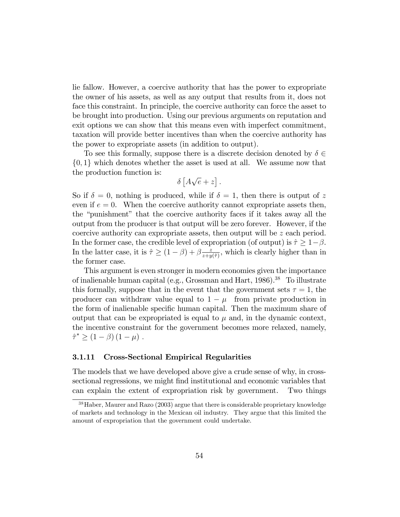lie fallow. However, a coercive authority that has the power to expropriate the owner of his assets, as well as any output that results from it, does not face this constraint. In principle, the coercive authority can force the asset to be brought into production. Using our previous arguments on reputation and exit options we can show that this means even with imperfect commitment, taxation will provide better incentives than when the coercive authority has the power to expropriate assets (in addition to output).

To see this formally, suppose there is a discrete decision denoted by  $\delta \in$  $\{0,1\}$  which denotes whether the asset is used at all. We assume now that the production function is:

$$
\delta\left[A\sqrt{e}+z\right].
$$

So if  $\delta = 0$ , nothing is produced, while if  $\delta = 1$ , then there is output of z even if  $e = 0$ . When the coercive authority cannot expropriate assets then, the "punishment" that the coercive authority faces if it takes away all the output from the producer is that output will be zero forever. However, if the coercive authority can expropriate assets, then output will be z each period. In the former case, the credible level of expropriation (of output) is  $\hat{\tau} \geq 1-\beta$ . In the latter case, it is  $\hat{\tau} \geq (1 - \beta) + \beta \frac{z}{z+y}$  $\frac{z}{z+y(\hat{\tau})}$ , which is clearly higher than in the former case.

This argument is even stronger in modern economies given the importance of inalienable human capital (e.g., Grossman and Hart,  $1986$ ).<sup>38</sup> To illustrate this formally, suppose that in the event that the government sets  $\tau = 1$ , the producer can withdraw value equal to  $1 - \mu$  from private production in the form of inalienable specific human capital. Then the maximum share of output that can be expropriated is equal to  $\mu$  and, in the dynamic context, the incentive constraint for the government becomes more relaxed, namely,  $\hat{\tau}^* \geq (1 - \beta) (1 - \mu)$ .

#### 3.1.11 Cross-Sectional Empirical Regularities

The models that we have developed above give a crude sense of why, in crosssectional regressions, we might Önd institutional and economic variables that can explain the extent of expropriation risk by government. Two things

<sup>38</sup>Haber, Maurer and Razo (2003) argue that there is considerable proprietary knowledge of markets and technology in the Mexican oil industry. They argue that this limited the amount of expropriation that the government could undertake.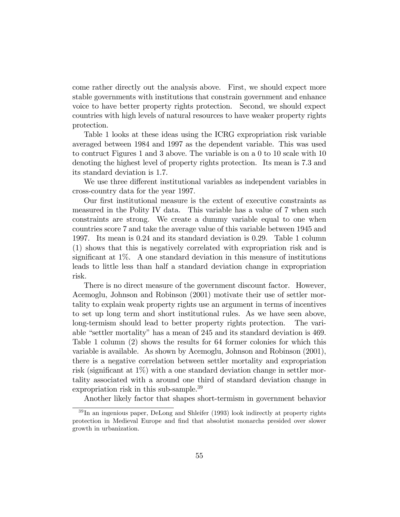come rather directly out the analysis above. First, we should expect more stable governments with institutions that constrain government and enhance voice to have better property rights protection. Second, we should expect countries with high levels of natural resources to have weaker property rights protection.

Table 1 looks at these ideas using the ICRG expropriation risk variable averaged between 1984 and 1997 as the dependent variable. This was used to contruct Figures 1 and 3 above. The variable is on a 0 to 10 scale with 10 denoting the highest level of property rights protection. Its mean is 7.3 and its standard deviation is 1.7.

We use three different institutional variables as independent variables in cross-country data for the year 1997.

Our first institutional measure is the extent of executive constraints as measured in the Polity IV data. This variable has a value of 7 when such constraints are strong. We create a dummy variable equal to one when countries score 7 and take the average value of this variable between 1945 and 1997. Its mean is 0.24 and its standard deviation is 0.29. Table 1 column (1) shows that this is negatively correlated with expropriation risk and is significant at  $1\%$ . A one standard deviation in this measure of institutions leads to little less than half a standard deviation change in expropriation risk.

There is no direct measure of the government discount factor. However, Acemoglu, Johnson and Robinson (2001) motivate their use of settler mortality to explain weak property rights use an argument in terms of incentives to set up long term and short institutional rules. As we have seen above, long-termism should lead to better property rights protection. The variable "settler mortality" has a mean of 245 and its standard deviation is 469. Table 1 column (2) shows the results for 64 former colonies for which this variable is available. As shown by Acemoglu, Johnson and Robinson (2001), there is a negative correlation between settler mortality and expropriation risk (significant at  $1\%$ ) with a one standard deviation change in settler mortality associated with a around one third of standard deviation change in expropriation risk in this sub-sample.<sup>39</sup>

Another likely factor that shapes short-termism in government behavior

<sup>&</sup>lt;sup>39</sup>In an ingenious paper, DeLong and Shleifer (1993) look indirectly at property rights protection in Medieval Europe and Önd that absolutist monarchs presided over slower growth in urbanization.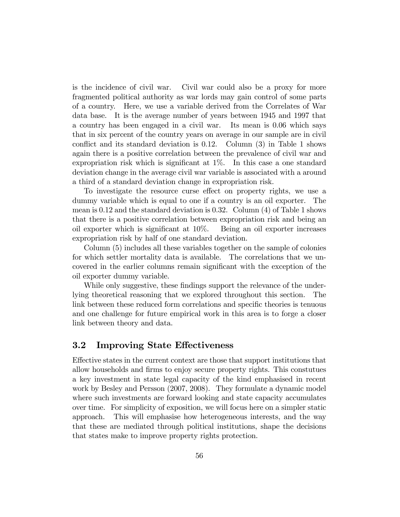is the incidence of civil war. Civil war could also be a proxy for more fragmented political authority as war lords may gain control of some parts of a country. Here, we use a variable derived from the Correlates of War data base. It is the average number of years between 1945 and 1997 that a country has been engaged in a civil war. Its mean is 0.06 which says that in six percent of the country years on average in our sample are in civil conflict and its standard deviation is  $0.12$ . Column  $(3)$  in Table 1 shows again there is a positive correlation between the prevalence of civil war and expropriation risk which is significant at  $1\%$ . In this case a one standard deviation change in the average civil war variable is associated with a around a third of a standard deviation change in expropriation risk.

To investigate the resource curse effect on property rights, we use a dummy variable which is equal to one if a country is an oil exporter. The mean is 0.12 and the standard deviation is 0.32. Column (4) of Table 1 shows that there is a positive correlation between expropriation risk and being an oil exporter which is significant at  $10\%$ . Being an oil exporter increases expropriation risk by half of one standard deviation.

Column (5) includes all these variables together on the sample of colonies for which settler mortality data is available. The correlations that we uncovered in the earlier columns remain significant with the exception of the oil exporter dummy variable.

While only suggestive, these findings support the relevance of the underlying theoretical reasoning that we explored throughout this section. The link between these reduced form correlations and specific theories is tenuous and one challenge for future empirical work in this area is to forge a closer link between theory and data.

## 3.2 Improving State Effectiveness

Effective states in the current context are those that support institutions that allow households and Örms to enjoy secure property rights. This constutues a key investment in state legal capacity of the kind emphasised in recent work by Besley and Persson (2007, 2008). They formulate a dynamic model where such investments are forward looking and state capacity accumulates over time. For simplicity of exposition, we will focus here on a simpler static approach. This will emphasise how heterogeneous interests, and the way that these are mediated through political institutions, shape the decisions that states make to improve property rights protection.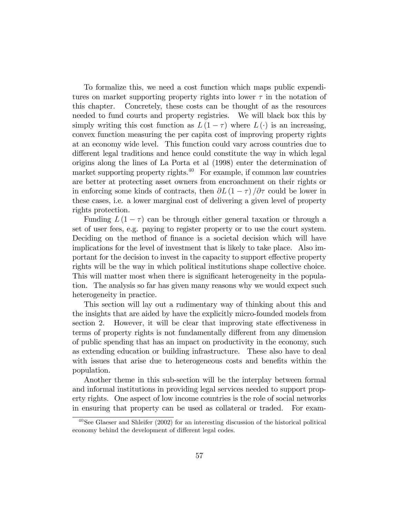To formalize this, we need a cost function which maps public expenditures on market supporting property rights into lower  $\tau$  in the notation of this chapter. Concretely, these costs can be thought of as the resources needed to fund courts and property registries. We will black box this by simply writing this cost function as  $L(1 - \tau)$  where  $L(\cdot)$  is an increasing, convex function measuring the per capita cost of improving property rights at an economy wide level. This function could vary across countries due to different legal traditions and hence could constitute the way in which legal origins along the lines of La Porta et al (1998) enter the determination of market supporting property rights. $40$  For example, if common law countries are better at protecting asset owners from encroachment on their rights or in enforcing some kinds of contracts, then  $\partial L (1 - \tau) / \partial \tau$  could be lower in these cases, i.e. a lower marginal cost of delivering a given level of property rights protection.

Funding  $L(1 - \tau)$  can be through either general taxation or through a set of user fees, e.g. paying to register property or to use the court system. Deciding on the method of finance is a societal decision which will have implications for the level of investment that is likely to take place. Also important for the decision to invest in the capacity to support effective property rights will be the way in which political institutions shape collective choice. This will matter most when there is significant heterogeneity in the population. The analysis so far has given many reasons why we would expect such heterogeneity in practice.

This section will lay out a rudimentary way of thinking about this and the insights that are aided by have the explicitly micro-founded models from section 2. However, it will be clear that improving state effectiveness in terms of property rights is not fundamentally different from any dimension of public spending that has an impact on productivity in the economy, such as extending education or building infrastructure. These also have to deal with issues that arise due to heterogeneous costs and benefits within the population.

Another theme in this sub-section will be the interplay between formal and informal institutions in providing legal services needed to support property rights. One aspect of low income countries is the role of social networks in ensuring that property can be used as collateral or traded. For exam-

<sup>40</sup>See Glaeser and Shleifer (2002) for an interesting discussion of the historical political economy behind the development of different legal codes.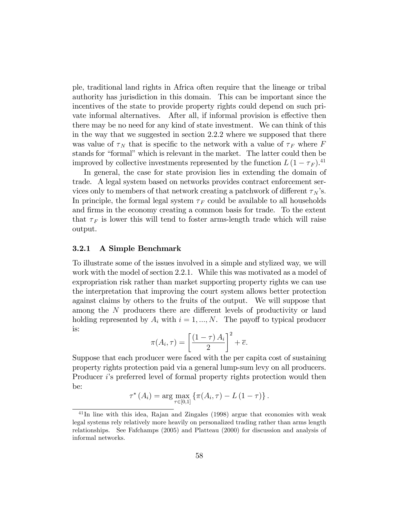ple, traditional land rights in Africa often require that the lineage or tribal authority has jurisdiction in this domain. This can be important since the incentives of the state to provide property rights could depend on such private informal alternatives. After all, if informal provision is effective then there may be no need for any kind of state investment. We can think of this in the way that we suggested in section 2.2.2 where we supposed that there was value of  $\tau_N$  that is specific to the network with a value of  $\tau_F$  where F stands for "formal" which is relevant in the market. The latter could then be improved by collective investments represented by the function  $L (1 - \tau_F)^{41}$ .

In general, the case for state provision lies in extending the domain of trade. A legal system based on networks provides contract enforcement services only to members of that network creating a patchwork of different  $\tau_N$ 's. In principle, the formal legal system  $\tau_F$  could be available to all households and firms in the economy creating a common basis for trade. To the extent that  $\tau_F$  is lower this will tend to foster arms-length trade which will raise output.

#### 3.2.1 A Simple Benchmark

To illustrate some of the issues involved in a simple and stylized way, we will work with the model of section 2.2.1. While this was motivated as a model of expropriation risk rather than market supporting property rights we can use the interpretation that improving the court system allows better protection against claims by others to the fruits of the output. We will suppose that among the  $N$  producers there are different levels of productivity or land holding represented by  $A_i$  with  $i = 1, ..., N$ . The payoff to typical producer is:

$$
\pi(A_i, \tau) = \left[\frac{(1-\tau) A_i}{2}\right]^2 + \overline{e}.
$$

Suppose that each producer were faced with the per capita cost of sustaining property rights protection paid via a general lump-sum levy on all producers. Producer *i*'s preferred level of formal property rights protection would then be:

$$
\tau^*(A_i) = \arg \max_{\tau \in [0,1]} \{ \pi(A_i, \tau) - L(1 - \tau) \}.
$$

<sup>&</sup>lt;sup>41</sup>In line with this idea, Rajan and Zingales (1998) argue that economies with weak legal systems rely relatively more heavily on personalized trading rather than arms length relationships. See Fafchamps (2005) and Platteau (2000) for discussion and analysis of informal networks.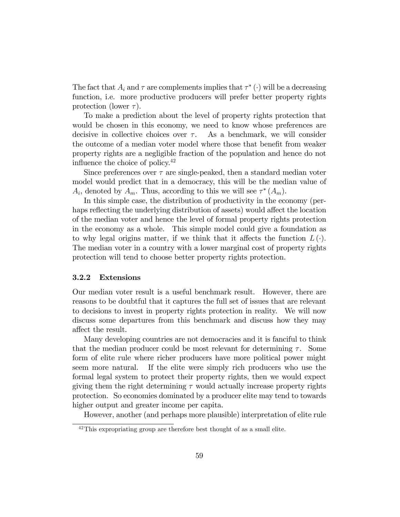The fact that  $A_i$  and  $\tau$  are complements implies that  $\tau^*$  ( $\cdot$ ) will be a decreasing function, i.e. more productive producers will prefer better property rights protection (lower  $\tau$ ).

To make a prediction about the level of property rights protection that would be chosen in this economy, we need to know whose preferences are decisive in collective choices over  $\tau$ . As a benchmark, we will consider the outcome of a median voter model where those that benefit from weaker property rights are a negligible fraction of the population and hence do not influence the choice of policy. $42$ 

Since preferences over  $\tau$  are single-peaked, then a standard median voter model would predict that in a democracy, this will be the median value of  $A_i$ , denoted by  $A_m$ . Thus, according to this we will see  $\tau^*(A_m)$ .

In this simple case, the distribution of productivity in the economy (perhaps reflecting the underlying distribution of assets) would affect the location of the median voter and hence the level of formal property rights protection in the economy as a whole. This simple model could give a foundation as to why legal origins matter, if we think that it affects the function  $L(\cdot)$ . The median voter in a country with a lower marginal cost of property rights protection will tend to choose better property rights protection.

#### 3.2.2 Extensions

Our median voter result is a useful benchmark result. However, there are reasons to be doubtful that it captures the full set of issues that are relevant to decisions to invest in property rights protection in reality. We will now discuss some departures from this benchmark and discuss how they may affect the result.

Many developing countries are not democracies and it is fanciful to think that the median producer could be most relevant for determining  $\tau$ . Some form of elite rule where richer producers have more political power might seem more natural. If the elite were simply rich producers who use the formal legal system to protect their property rights, then we would expect giving them the right determining  $\tau$  would actually increase property rights protection. So economies dominated by a producer elite may tend to towards higher output and greater income per capita.

However, another (and perhaps more plausible) interpretation of elite rule

 $42$ This expropriating group are therefore best thought of as a small elite.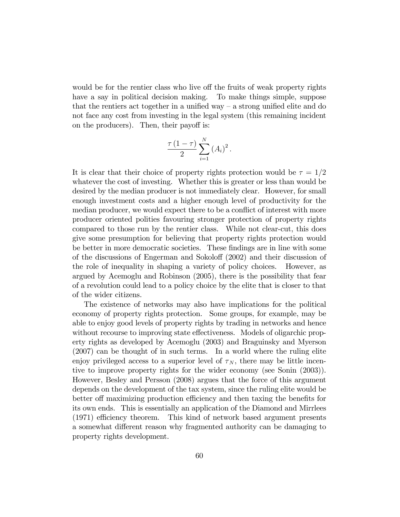would be for the rentier class who live off the fruits of weak property rights have a say in political decision making. To make things simple, suppose that the rentiers act together in a unified way  $-$  a strong unified elite and do not face any cost from investing in the legal system (this remaining incident on the producers). Then, their payoff is:

$$
\frac{\tau(1-\tau)}{2}\sum_{i=1}^N (A_i)^2.
$$

It is clear that their choice of property rights protection would be  $\tau = 1/2$ whatever the cost of investing. Whether this is greater or less than would be desired by the median producer is not immediately clear. However, for small enough investment costs and a higher enough level of productivity for the median producer, we would expect there to be a conflict of interest with more producer oriented polities favouring stronger protection of property rights compared to those run by the rentier class. While not clear-cut, this does give some presumption for believing that property rights protection would be better in more democratic societies. These findings are in line with some of the discussions of Engerman and Sokoloff  $(2002)$  and their discussion of the role of inequality in shaping a variety of policy choices. However, as argued by Acemoglu and Robinson (2005), there is the possibility that fear of a revolution could lead to a policy choice by the elite that is closer to that of the wider citizens.

The existence of networks may also have implications for the political economy of property rights protection. Some groups, for example, may be able to enjoy good levels of property rights by trading in networks and hence without recourse to improving state effectiveness. Models of oligarchic property rights as developed by Acemoglu (2003) and Braguinsky and Myerson (2007) can be thought of in such terms. In a world where the ruling elite enjoy privileged access to a superior level of  $\tau_N$ , there may be little incentive to improve property rights for the wider economy (see Sonin (2003)). However, Besley and Persson (2008) argues that the force of this argument depends on the development of the tax system, since the ruling elite would be better of maximizing production efficiency and then taxing the benefits for its own ends. This is essentially an application of the Diamond and Mirrlees (1971) efficiency theorem. This kind of network based argument presents a somewhat different reason why fragmented authority can be damaging to property rights development.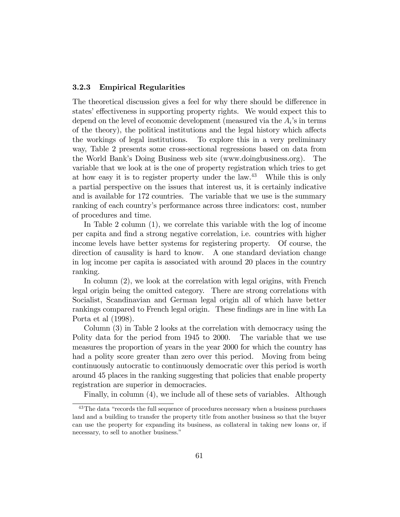### 3.2.3 Empirical Regularities

The theoretical discussion gives a feel for why there should be difference in states' effectiveness in supporting property rights. We would expect this to depend on the level of economic development (measured via the  $A_i$ 's in terms of the theory), the political institutions and the legal history which affects the workings of legal institutions. To explore this in a very preliminary way, Table 2 presents some cross-sectional regressions based on data from the World Bankís Doing Business web site (www.doingbusiness.org). The variable that we look at is the one of property registration which tries to get at how easy it is to register property under the law.<sup>43</sup> While this is only a partial perspective on the issues that interest us, it is certainly indicative and is available for 172 countries. The variable that we use is the summary ranking of each country's performance across three indicators: cost, number of procedures and time.

In Table 2 column (1), we correlate this variable with the log of income per capita and Önd a strong negative correlation, i.e. countries with higher income levels have better systems for registering property. Of course, the direction of causality is hard to know. A one standard deviation change in log income per capita is associated with around 20 places in the country ranking.

In column  $(2)$ , we look at the correlation with legal origins, with French legal origin being the omitted category. There are strong correlations with Socialist, Scandinavian and German legal origin all of which have better rankings compared to French legal origin. These findings are in line with La Porta et al (1998).

Column (3) in Table 2 looks at the correlation with democracy using the Polity data for the period from 1945 to 2000. The variable that we use measures the proportion of years in the year 2000 for which the country has had a polity score greater than zero over this period. Moving from being continuously autocratic to continuously democratic over this period is worth around 45 places in the ranking suggesting that policies that enable property registration are superior in democracies.

Finally, in column (4), we include all of these sets of variables. Although

 $43$ The data "records the full sequence of procedures necessary when a business purchases land and a building to transfer the property title from another business so that the buyer can use the property for expanding its business, as collateral in taking new loans or, if necessary, to sell to another business."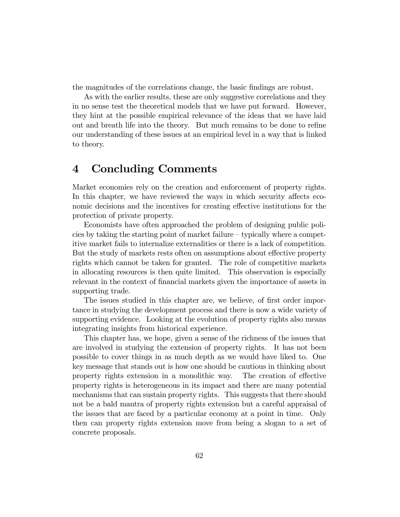the magnitudes of the correlations change, the basic Öndings are robust.

As with the earlier results, these are only suggestive correlations and they in no sense test the theoretical models that we have put forward. However, they hint at the possible empirical relevance of the ideas that we have laid out and breath life into the theory. But much remains to be done to refine our understanding of these issues at an empirical level in a way that is linked to theory.

# 4 Concluding Comments

Market economies rely on the creation and enforcement of property rights. In this chapter, we have reviewed the ways in which security affects economic decisions and the incentives for creating effective institutions for the protection of private property.

Economists have often approached the problem of designing public policies by taking the starting point of market failure  $-$  typically where a competitive market fails to internalize externalities or there is a lack of competition. But the study of markets rests often on assumptions about effective property rights which cannot be taken for granted. The role of competitive markets in allocating resources is then quite limited. This observation is especially relevant in the context of financial markets given the importance of assets in supporting trade.

The issues studied in this chapter are, we believe, of first order importance in studying the development process and there is now a wide variety of supporting evidence. Looking at the evolution of property rights also means integrating insights from historical experience.

This chapter has, we hope, given a sense of the richness of the issues that are involved in studying the extension of property rights. It has not been possible to cover things in as much depth as we would have liked to. One key message that stands out is how one should be cautious in thinking about property rights extension in a monolithic way. The creation of effective property rights is heterogeneous in its impact and there are many potential mechanisms that can sustain property rights. This suggests that there should not be a bald mantra of property rights extension but a careful appraisal of the issues that are faced by a particular economy at a point in time. Only then can property rights extension move from being a slogan to a set of concrete proposals.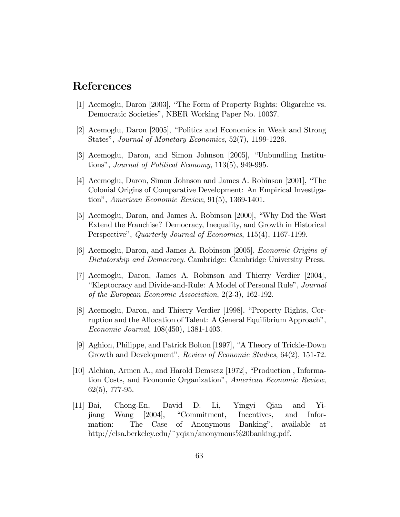## References

- [1] Acemoglu, Daron [2003], "The Form of Property Rights: Oligarchic vs. Democratic Societies", NBER Working Paper No. 10037.
- [2] Acemoglu, Daron [2005], "Politics and Economics in Weak and Strong States", Journal of Monetary Economics, 52(7), 1199-1226.
- [3] Acemoglu, Daron, and Simon Johnson [2005], "Unbundling Institutions", Journal of Political Economy,  $113(5)$ ,  $949-995$ .
- [4] Acemoglu, Daron, Simon Johnson and James A. Robinson [2001], "The Colonial Origins of Comparative Development: An Empirical Investigationî, American Economic Review, 91(5), 1369-1401.
- [5] Acemoglu, Daron, and James A. Robinson [2000], "Why Did the West" Extend the Franchise? Democracy, Inequality, and Growth in Historical Perspective", Quarterly Journal of Economics, 115(4), 1167-1199.
- [6] Acemoglu, Daron, and James A. Robinson [2005], Economic Origins of Dictatorship and Democracy. Cambridge: Cambridge University Press.
- [7] Acemoglu, Daron, James A. Robinson and Thierry Verdier [2004], "Kleptocracy and Divide-and-Rule: A Model of Personal Rule", Journal of the European Economic Association, 2(2-3), 162-192.
- [8] Acemoglu, Daron, and Thierry Verdier [1998], "Property Rights, Corruption and the Allocation of Talent: A General Equilibrium Approach", Economic Journal, 108(450), 1381-1403.
- [9] Aghion, Philippe, and Patrick Bolton [1997], "A Theory of Trickle-Down Growth and Development", Review of Economic Studies, 64(2), 151-72.
- [10] Alchian, Armen A., and Harold Demsetz [1972], "Production, Information Costs, and Economic Organization", American Economic Review, 62(5), 777-95.
- [11] Bai, Chong-En, David D. Li, Yingyi Qian and Yijiang Wang [2004], "Commitment, Incentives, and Information: The Case of Anonymous Bankingî, available at http://elsa.berkeley.edu/~yqian/anonymous%20banking.pdf.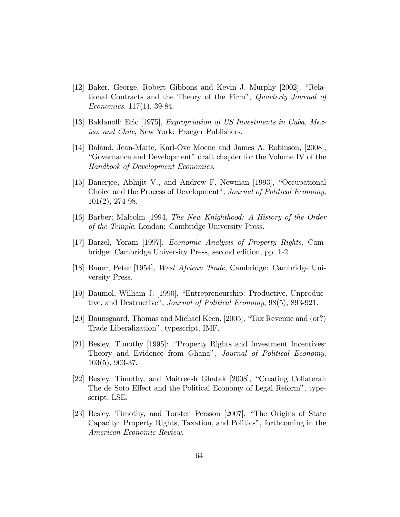- [12] Baker, George, Robert Gibbons and Kevin J. Murphy [2002], "Relational Contracts and the Theory of the Firm", Quarterly Journal of *Economics*,  $117(1)$ , 39-84.
- [13] Baklanoff; Eric [1975], *Expropriation of US Investments in Cuba, Mex*ico, and Chile, New York: Praeger Publishers.
- [14] Baland, Jean-Marie, Karl-Ove Moene and James A. Robinson, [2008], "Governance and Development" draft chapter for the Volume IV of the Handbook of Development Economics.
- [15] Banerjee, Abhijit V., and Andrew F. Newman [1993], "Occupational Choice and the Process of Development", Journal of Political Economy,  $101(2), 274-98.$
- [16] Barber; Malcolm [1994, The New Knighthood: A History of the Order *of the Temple*. London: Cambridge University Press.
- [17] Barzel, Yoram [1997], *Economic Analysis of Property Rights*, Cambridge: Cambridge University Press, second edition, pp. 1-2.
- [18] Bauer, Peter [1954], West African Trade, Cambridge: Cambridge University Press.
- [19] Baumol, William J. [1990], "Entrepreneurship: Productive, Unproductive, and Destructive", *Journal of Political Economy*, 98(5), 893-921.
- [20] Baunsgaard, Thomas and Michael Keen, [2005], "Tax Revenue and (or?) Trade Liberalization", typescript, IMF.
- [21] Besley, Timothy [1995]: "Property Rights and Investment Incentives: Theory and Evidence from Ghana", Journal of Political Economy,  $103(5)$ , 903-37.
- [22] Besley, Timothy, and Maitreesh Ghatak [2008], "Creating Collateral: The de Soto Effect and the Political Economy of Legal Reform", typescript, LSE.
- [23] Besley, Timothy, and Torsten Persson [2007], "The Origins of State Capacity: Property Rights, Taxation, and Politics", forthcoming in the American Economic Review.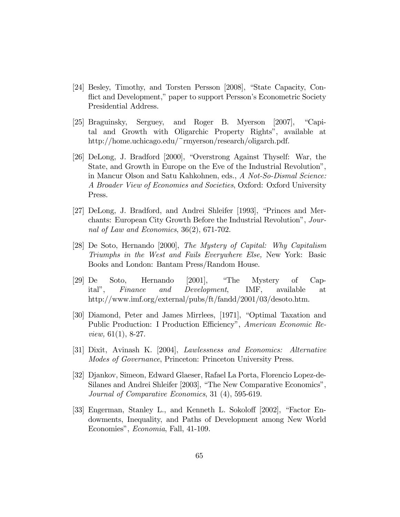- [24] Besley, Timothy, and Torsten Persson [2008], "State Capacity, Conflict and Development," paper to support Persson's Econometric Society Presidential Address.
- [25] Braguinsky, Serguey, and Roger B. Myerson [2007], "Capital and Growth with Oligarchic Property Rights", available at http://home.uchicago.edu/~rmyerson/research/oligarch.pdf.
- [26] DeLong, J. Bradford [2000], "Overstrong Against Thyself: War, the State, and Growth in Europe on the Eve of the Industrial Revolution", in Mancur Olson and Satu Kahkohnen, eds., A Not-So-Dismal Science: A Broader View of Economies and Societies, Oxford: Oxford University Press.
- [27] DeLong, J. Bradford, and Andrei Shleifer [1993], "Princes and Merchants: European City Growth Before the Industrial Revolution", Journal of Law and Economics,  $36(2)$ , 671-702.
- [28] De Soto, Hernando [2000], The Mystery of Capital: Why Capitalism Triumphs in the West and Fails Everywhere Else, New York: Basic Books and London: Bantam Press/Random House.
- "The  $[29]$  De Soto,  $[2001],$ Mystery of Hernando  $Cap$ ital",  $Finance$ and Development, IMF, available at http://www.imf.org/external/pubs/ft/fandd/2001/03/desoto.htm.
- [30] Diamond, Peter and James Mirrlees, [1971], "Optimal Taxation and Public Production: I Production Efficiency", American Economic Re*view*,  $61(1)$ , 8-27.
- [31] Dixit, Avinash K. [2004], Lawlessness and Economics: Alternative *Modes of Governance*, Princeton: Princeton University Press.
- [32] Djankov, Simeon, Edward Glaeser, Rafael La Porta, Florencio Lopez-de-Silanes and Andrei Shleifer [2003], "The New Comparative Economics", Journal of Comparative Economics, 31 (4), 595-619.
- [33] Engerman, Stanley L., and Kenneth L. Sokoloff [2002], "Factor Endowments, Inequality, and Paths of Development among New World Economies", *Economia*, Fall, 41-109.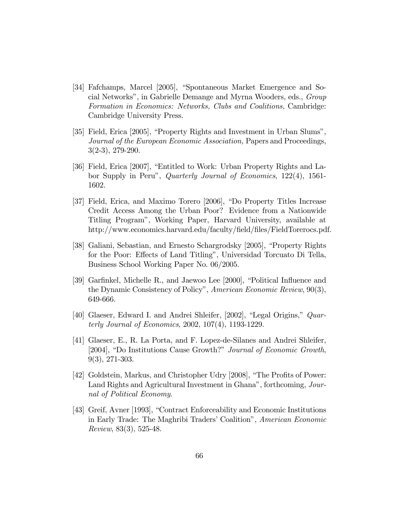- [34] Fafchamps, Marcel [2005], "Spontaneous Market Emergence and Social Networks", in Gabrielle Demange and Myrna Wooders, eds., Group Formation in Economics: Networks, Clubs and Coalitions, Cambridge: Cambridge University Press.
- [35] Field, Erica [2005], "Property Rights and Investment in Urban Slums", Journal of the European Economic Association, Papers and Proceedings,  $3(2-3), 279-290.$
- [36] Field, Erica [2007], "Entitled to Work: Urban Property Rights and Labor Supply in Peru", *Quarterly Journal of Economics*, 122(4), 1561-1602.
- [37] Field, Erica, and Maximo Torero [2006], "Do Property Titles Increase Credit Access Among the Urban Poor? Evidence from a Nationwide Titling Program", Working Paper, Harvard University, available at http://www.economics.harvard.edu/faculty/field/files/FieldTorerocs.pdf.
- [38] Galiani, Sebastian, and Ernesto Schargrodsky [2005], "Property Rights" for the Poor: Effects of Land Titling", Universidad Torcuato Di Tella, Business School Working Paper No. 06/2005.
- [39] Garfinkel, Michelle R., and Jaewoo Lee [2000], "Political Influence and the Dynamic Consistency of Policy", American Economic Review, 90(3), 649-666.
- [40] Glaeser, Edward I. and Andrei Shleifer, [2002], "Legal Origins," Quar*terly Journal of Economics*, 2002, 107(4), 1193-1229.
- [41] Glaeser, E., R. La Porta, and F. Lopez-de-Silanes and Andrei Shleifer, [2004], "Do Institutions Cause Growth?" Journal of Economic Growth,  $9(3), 271-303.$
- [42] Goldstein, Markus, and Christopher Udry [2008], "The Profits of Power: Land Rights and Agricultural Investment in Ghana", forthcoming, Journal of Political Economy.
- [43] Greif, Avner [1993], "Contract Enforceability and Economic Institutions in Early Trade: The Maghribi Traders' Coalition", American Economic *Review*, 83(3), 525-48.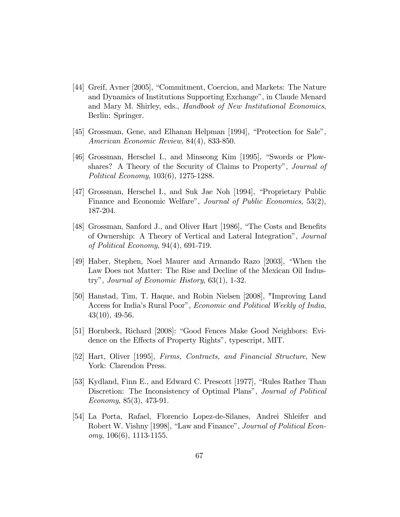- [44] Greif, Avner [2005], "Commitment, Coercion, and Markets: The Nature and Dynamics of Institutions Supporting Exchange", in Claude Menard and Mary M. Shirley, eds., *Handbook of New Institutional Economics*, Berlin: Springer.
- [45] Grossman, Gene, and Elhanan Helpman [1994], "Protection for Sale", American Economic Review, 84(4), 833-850.
- [46] Grossman, Herschel I., and Minseong Kim [1995], "Swords or Plowshares? A Theory of the Security of Claims to Property", Journal of Political Economy, 103(6), 1275-1288.
- [47] Grossman, Herschel I., and Suk Jae Noh [1994], "Proprietary Public Finance and Economic Welfare", Journal of Public Economics, 53(2), 187-204.
- [48] Grossman, Sanford J., and Oliver Hart [1986], "The Costs and Benefits" of Ownership: A Theory of Vertical and Lateral Integration", Journal of Political Economy,  $94(4)$ , 691-719.
- [49] Haber, Stephen, Noel Maurer and Armando Razo [2003], "When the Law Does not Matter: The Rise and Decline of the Mexican Oil Industry", Journal of Economic History,  $63(1)$ , 1-32.
- [50] Hanstad, Tim, T. Haque, and Robin Nielsen [2008], "Improving Land Access for India's Rural Poor", Economic and Political Weekly of India,  $43(10), 49-56.$
- [51] Hornbeck, Richard [2008]: "Good Fences Make Good Neighbors: Evidence on the Effects of Property Rights", typescript, MIT.
- [52] Hart, Oliver [1995], Firms, Contracts, and Financial Structure, New York: Clarendon Press.
- [53] Kydland, Finn E., and Edward C. Prescott [1977], "Rules Rather Than Discretion: The Inconsistency of Optimal Plans", Journal of Political *Economy*, 85(3), 473-91.
- [54] La Porta, Rafael, Florencio Lopez-de-Silanes, Andrei Shleifer and Robert W. Vishny [1998], "Law and Finance", Journal of Political Econ $omy, 106(6), 1113-1155.$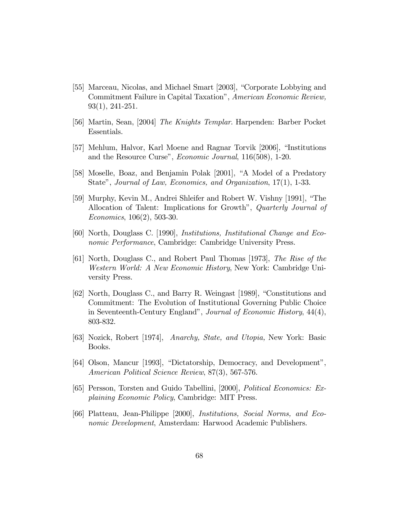- [55] Marceau, Nicolas, and Michael Smart [2003], "Corporate Lobbying and Commitment Failure in Capital Taxation", American Economic Review,  $93(1), 241-251.$
- [56] Martin, Sean, [2004] The Knights Templar. Harpenden: Barber Pocket Essentials.
- [57] Mehlum, Halvor, Karl Moene and Ragnar Torvik [2006], "Institutions and the Resource Curse", *Economic Journal*, 116(508), 1-20.
- [58] Moselle, Boaz, and Benjamin Polak [2001], "A Model of a Predatory State", Journal of Law, Economics, and Organization, 17(1), 1-33.
- [59] Murphy, Kevin M., Andrei Shleifer and Robert W. Vishny [1991], "The Allocation of Talent: Implications for Growth", Quarterly Journal of *Economics*,  $106(2)$ , 503-30.
- [60] North, Douglass C. [1990], *Institutions, Institutional Change and Eco*nomic Performance, Cambridge: Cambridge University Press.
- [61] North, Douglass C., and Robert Paul Thomas [1973], The Rise of the Western World: A New Economic History, New York: Cambridge University Press.
- [62] North, Douglass C., and Barry R. Weingast [1989], "Constitutions and Commitment: The Evolution of Institutional Governing Public Choice in Seventeenth-Century England", Journal of Economic History, 44(4), 803-832.
- [63] Nozick, Robert [1974], Anarchy, State, and Utopia, New York: Basic Books.
- [64] Olson, Mancur [1993], "Dictatorship, Democracy, and Development", American Political Science Review, 87(3), 567-576.
- [65] Persson, Torsten and Guido Tabellini, [2000], *Political Economics: Ex*plaining Economic Policy, Cambridge: MIT Press.
- [66] Platteau, Jean-Philippe [2000], *Institutions, Social Norms, and Eco*nomic Development, Amsterdam: Harwood Academic Publishers.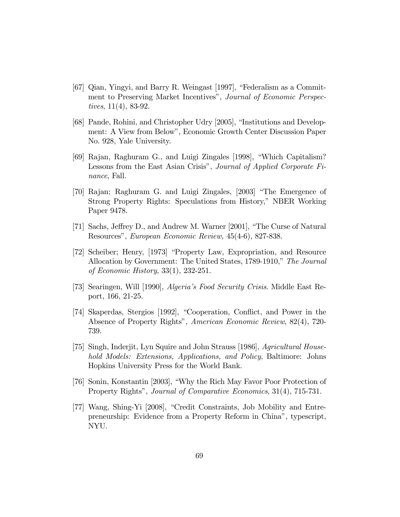- [67] Qian, Yingyi, and Barry R. Weingast [1997], "Federalism as a Commitment to Preserving Market Incentives", Journal of Economic Perspec*tives*,  $11(4)$ , 83-92.
- [68] Pande, Rohini, and Christopher Udry [2005], "Institutions and Development: A View from Below", Economic Growth Center Discussion Paper No. 928, Yale University.
- [69] Rajan, Raghuram G., and Luigi Zingales [1998], "Which Capitalism? Lessons from the East Asian Crisis", Journal of Applied Corporate Finance, Fall.
- [70] Rajan; Raghuram G. and Luigi Zingales, [2003] "The Emergence of Strong Property Rights: Speculations from History," NBER Working Paper 9478.
- [71] Sachs, Jeffrey D., and Andrew M. Warner [2001], "The Curse of Natural Resources", European Economic Review, 45(4-6), 827-838.
- [72] Scheiber; Henry, [1973] "Property Law, Expropriation, and Resource Allocation by Government: The United States, 1789-1910," The Journal of Economic History,  $33(1)$ ,  $232-251$ .
- [73] Searingen, Will [1990], *Algeria's Food Security Crisis*. Middle East Report, 166, 21-25.
- [74] Skaperdas, Stergios [1992], "Cooperation, Conflict, and Power in the Absence of Property Rights", American Economic Review, 82(4), 720-739.
- [75] Singh, Inderjit, Lyn Squire and John Strauss [1986], Agricultural Household Models: Extensions, Applications, and Policy, Baltimore: Johns Hopkins University Press for the World Bank.
- [76] Sonin, Konstantin [2003], "Why the Rich May Favor Poor Protection of Property Rights", Journal of Comparative Economics, 31(4), 715-731.
- [77] Wang, Shing-Yi [2008], "Credit Constraints, Job Mobility and Entrepreneurship: Evidence from a Property Reform in China", typescript, NYU.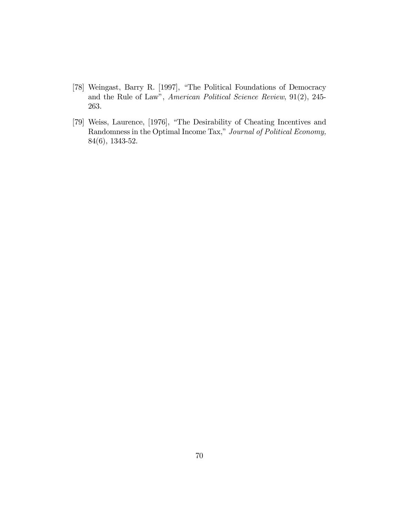- [78] Weingast, Barry R. [1997], "The Political Foundations of Democracy and the Rule of Law", American Political Science Review, 91(2), 245-263.
- [79] Weiss, Laurence, [1976], "The Desirability of Cheating Incentives and Randomness in the Optimal Income Tax," Journal of Political Economy, 84(6), 1343-52.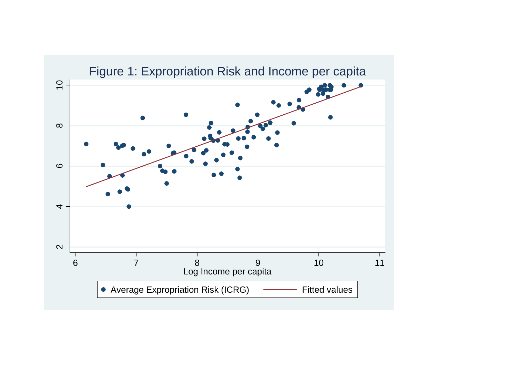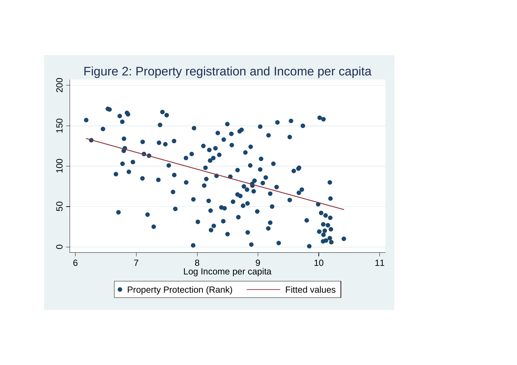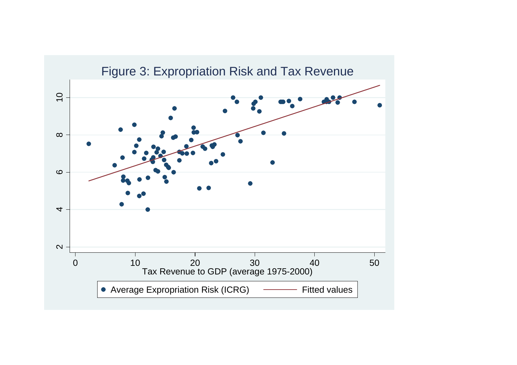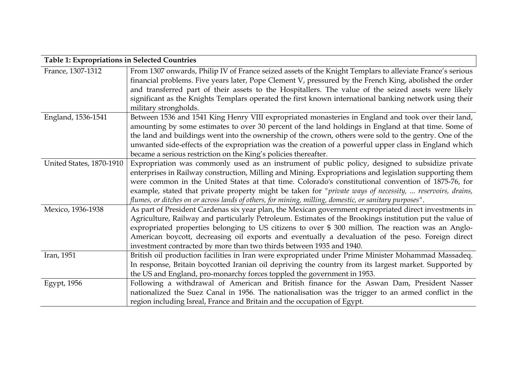| Table 1: Expropriations in Selected Countries |                                                                                                                                                                                                                                                                                                                                                                                                                                                                                                                                           |
|-----------------------------------------------|-------------------------------------------------------------------------------------------------------------------------------------------------------------------------------------------------------------------------------------------------------------------------------------------------------------------------------------------------------------------------------------------------------------------------------------------------------------------------------------------------------------------------------------------|
| France, 1307-1312                             | From 1307 onwards, Philip IV of France seized assets of the Knight Templars to alleviate France's serious<br>financial problems. Five years later, Pope Clement V, pressured by the French King, abolished the order<br>and transferred part of their assets to the Hospitallers. The value of the seized assets were likely<br>significant as the Knights Templars operated the first known international banking network using their<br>military strongholds.                                                                           |
| England, 1536-1541                            | Between 1536 and 1541 King Henry VIII expropriated monasteries in England and took over their land,<br>amounting by some estimates to over 30 percent of the land holdings in England at that time. Some of<br>the land and buildings went into the ownership of the crown, others were sold to the gentry. One of the<br>unwanted side-effects of the expropriation was the creation of a powerful upper class in England which<br>became a serious restriction on the King's policies thereafter.                                       |
| United States, 1870-1910                      | Expropriation was commonly used as an instrument of public policy, designed to subsidize private<br>enterprises in Railway construction, Milling and Mining. Expropriations and legislation supporting them<br>were common in the United States at that time. Colorado's constitutional convention of 1875-76, for<br>example, stated that private property might be taken for "private ways of necessity,  reservoirs, drains,<br>flumes, or ditches on or across lands of others, for mining, milling, domestic, or sanitary purposes". |
| Mexico, 1936-1938                             | As part of President Cardenas six year plan, the Mexican government expropriated direct investments in<br>Agriculture, Railway and particularly Petroleum. Estimates of the Brookings institution put the value of<br>expropriated properties belonging to US citizens to over \$300 million. The reaction was an Anglo-<br>American boycott, decreasing oil exports and eventually a devaluation of the peso. Foreign direct<br>investment contracted by more than two thirds between 1935 and 1940.                                     |
| Iran, 1951                                    | British oil production facilities in Iran were expropriated under Prime Minister Mohammad Massadeq.<br>In response, Britain boycotted Iranian oil depriving the country from its largest market. Supported by<br>the US and England, pro-monarchy forces toppled the government in 1953.                                                                                                                                                                                                                                                  |
| Egypt, 1956                                   | Following a withdrawal of American and British finance for the Aswan Dam, President Nasser<br>nationalized the Suez Canal in 1956. The nationalisation was the trigger to an armed conflict in the<br>region including Isreal, France and Britain and the occupation of Egypt.                                                                                                                                                                                                                                                            |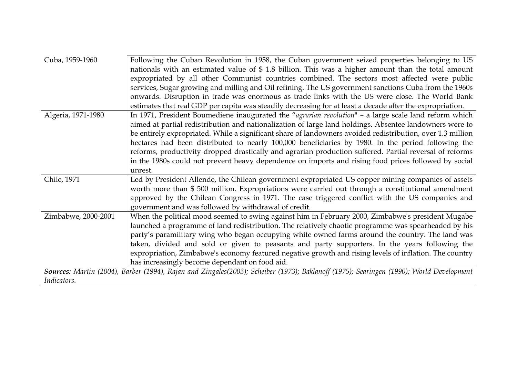| Cuba, 1959-1960                                                                                                                         | Following the Cuban Revolution in 1958, the Cuban government seized properties belonging to US             |  |  |  |
|-----------------------------------------------------------------------------------------------------------------------------------------|------------------------------------------------------------------------------------------------------------|--|--|--|
|                                                                                                                                         | nationals with an estimated value of \$1.8 billion. This was a higher amount than the total amount         |  |  |  |
|                                                                                                                                         | expropriated by all other Communist countries combined. The sectors most affected were public              |  |  |  |
|                                                                                                                                         | services, Sugar growing and milling and Oil refining. The US government sanctions Cuba from the 1960s      |  |  |  |
|                                                                                                                                         | onwards. Disruption in trade was enormous as trade links with the US were close. The World Bank            |  |  |  |
|                                                                                                                                         | estimates that real GDP per capita was steadily decreasing for at least a decade after the expropriation.  |  |  |  |
| Algeria, 1971-1980                                                                                                                      | In 1971, President Boumediene inaugurated the "agrarian revolution" - a large scale land reform which      |  |  |  |
|                                                                                                                                         | aimed at partial redistribution and nationalization of large land holdings. Absentee landowners were to    |  |  |  |
|                                                                                                                                         | be entirely expropriated. While a significant share of landowners avoided redistribution, over 1.3 million |  |  |  |
|                                                                                                                                         | hectares had been distributed to nearly 100,000 beneficiaries by 1980. In the period following the         |  |  |  |
|                                                                                                                                         | reforms, productivity dropped drastically and agrarian production suffered. Partial reversal of reforms    |  |  |  |
|                                                                                                                                         | in the 1980s could not prevent heavy dependence on imports and rising food prices followed by social       |  |  |  |
|                                                                                                                                         | unrest.                                                                                                    |  |  |  |
| Chile, 1971                                                                                                                             | Led by President Allende, the Chilean government expropriated US copper mining companies of assets         |  |  |  |
|                                                                                                                                         | worth more than \$500 million. Expropriations were carried out through a constitutional amendment          |  |  |  |
|                                                                                                                                         | approved by the Chilean Congress in 1971. The case triggered conflict with the US companies and            |  |  |  |
|                                                                                                                                         | government and was followed by withdrawal of credit.                                                       |  |  |  |
| Zimbabwe, 2000-2001                                                                                                                     | When the political mood seemed to swing against him in February 2000, Zimbabwe's president Mugabe          |  |  |  |
|                                                                                                                                         | launched a programme of land redistribution. The relatively chaotic programme was spearheaded by his       |  |  |  |
|                                                                                                                                         | party's paramilitary wing who began occupying white owned farms around the country. The land was           |  |  |  |
|                                                                                                                                         | taken, divided and sold or given to peasants and party supporters. In the years following the              |  |  |  |
|                                                                                                                                         | expropriation, Zimbabwe's economy featured negative growth and rising levels of inflation. The country     |  |  |  |
|                                                                                                                                         | has increasingly become dependant on food aid.                                                             |  |  |  |
| Sources: Martin (2004), Barber (1994), Rajan and Zingales(2003); Scheiber (1973); Baklanoff (1975); Searingen (1990); World Development |                                                                                                            |  |  |  |
| Indicators.                                                                                                                             |                                                                                                            |  |  |  |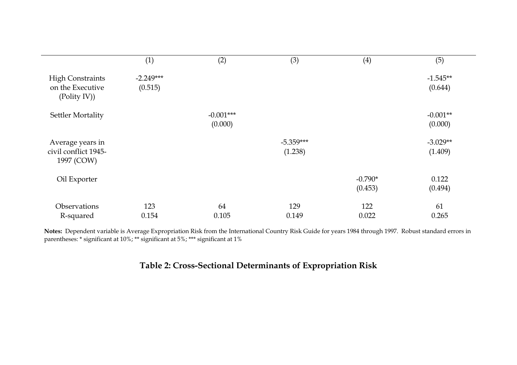|                                                             | (1)                    | (2)                    | (3)                    | (4)                  | (5)                   |
|-------------------------------------------------------------|------------------------|------------------------|------------------------|----------------------|-----------------------|
| <b>High Constraints</b><br>on the Executive<br>(Polity IV)) | $-2.249***$<br>(0.515) |                        |                        |                      | $-1.545**$<br>(0.644) |
| <b>Settler Mortality</b>                                    |                        | $-0.001***$<br>(0.000) |                        |                      | $-0.001**$<br>(0.000) |
| Average years in<br>civil conflict 1945-<br>1997 (COW)      |                        |                        | $-5.359***$<br>(1.238) |                      | $-3.029**$<br>(1.409) |
| Oil Exporter                                                |                        |                        |                        | $-0.790*$<br>(0.453) | 0.122<br>(0.494)      |
| Observations<br>R-squared                                   | 123<br>0.154           | 64<br>0.105            | 129<br>0.149           | 122<br>0.022         | 61<br>0.265           |

**Notes:** Dependent variable is Average Expropriation Risk from the International Country Risk Guide for years 1984 through 1997. Robust standard errors in parentheses: \* significant at 10%; \*\* significant at 5%; \*\*\* significant at 1%

**Table 2: Cross-Sectional Determinants of Expropriation Risk**